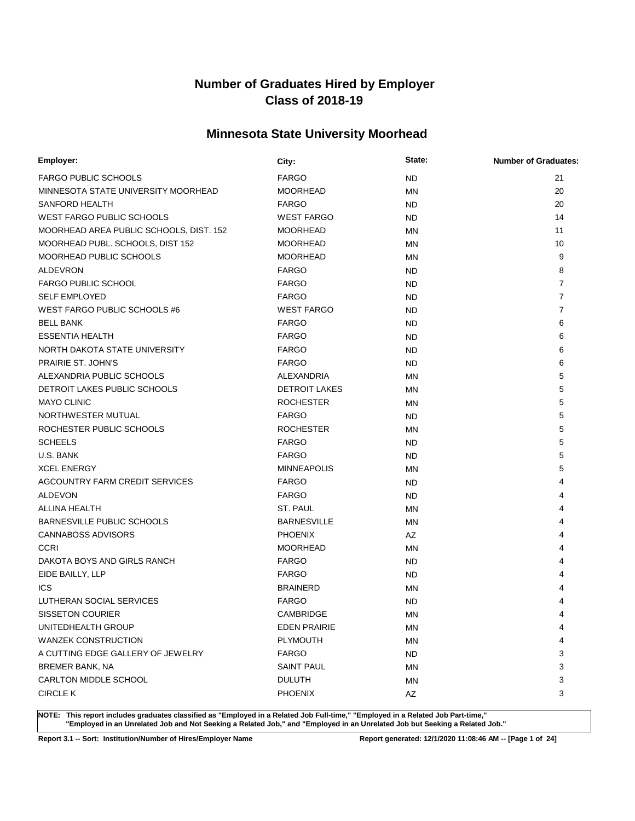## **Minnesota State University Moorhead**

| Employer:                               | City:                | State:    | <b>Number of Graduates:</b> |
|-----------------------------------------|----------------------|-----------|-----------------------------|
| <b>FARGO PUBLIC SCHOOLS</b>             | <b>FARGO</b>         | <b>ND</b> | 21                          |
| MINNESOTA STATE UNIVERSITY MOORHEAD     | <b>MOORHEAD</b>      | MN        | 20                          |
| SANFORD HEALTH                          | <b>FARGO</b>         | <b>ND</b> | 20                          |
| <b>WEST FARGO PUBLIC SCHOOLS</b>        | <b>WEST FARGO</b>    | ND.       | 14                          |
| MOORHEAD AREA PUBLIC SCHOOLS, DIST. 152 | <b>MOORHEAD</b>      | MN        | 11                          |
| MOORHEAD PUBL. SCHOOLS, DIST 152        | <b>MOORHEAD</b>      | ΜN        | 10                          |
| MOORHEAD PUBLIC SCHOOLS                 | <b>MOORHEAD</b>      | MN        | 9                           |
| <b>ALDEVRON</b>                         | <b>FARGO</b>         | ND.       | 8                           |
| <b>FARGO PUBLIC SCHOOL</b>              | <b>FARGO</b>         | <b>ND</b> | $\overline{7}$              |
| <b>SELF EMPLOYED</b>                    | <b>FARGO</b>         | <b>ND</b> | $\overline{7}$              |
| WEST FARGO PUBLIC SCHOOLS #6            | <b>WEST FARGO</b>    | <b>ND</b> | $\overline{7}$              |
| <b>BELL BANK</b>                        | <b>FARGO</b>         | <b>ND</b> | 6                           |
| <b>ESSENTIA HEALTH</b>                  | <b>FARGO</b>         | <b>ND</b> | 6                           |
| NORTH DAKOTA STATE UNIVERSITY           | <b>FARGO</b>         | <b>ND</b> | 6                           |
| PRAIRIE ST. JOHN'S                      | <b>FARGO</b>         | <b>ND</b> | 6                           |
| ALEXANDRIA PUBLIC SCHOOLS               | <b>ALEXANDRIA</b>    | ΜN        | 5                           |
| DETROIT LAKES PUBLIC SCHOOLS            | <b>DETROIT LAKES</b> | ΜN        | 5                           |
| <b>MAYO CLINIC</b>                      | <b>ROCHESTER</b>     | ΜN        | 5                           |
| NORTHWESTER MUTUAL                      | <b>FARGO</b>         | <b>ND</b> | 5                           |
| ROCHESTER PUBLIC SCHOOLS                | <b>ROCHESTER</b>     | ΜN        | 5                           |
| <b>SCHEELS</b>                          | <b>FARGO</b>         | ND.       | 5                           |
| U.S. BANK                               | <b>FARGO</b>         | <b>ND</b> | 5                           |
| <b>XCEL ENERGY</b>                      | <b>MINNEAPOLIS</b>   | MN        | 5                           |
| AGCOUNTRY FARM CREDIT SERVICES          | <b>FARGO</b>         | ND.       | 4                           |
| <b>ALDEVON</b>                          | <b>FARGO</b>         | <b>ND</b> | 4                           |
| ALLINA HEALTH                           | ST. PAUL             | MN        | 4                           |
| <b>BARNESVILLE PUBLIC SCHOOLS</b>       | <b>BARNESVILLE</b>   | MN        | 4                           |
| <b>CANNABOSS ADVISORS</b>               | <b>PHOENIX</b>       | AZ        |                             |
| <b>CCRI</b>                             | <b>MOORHEAD</b>      | MN        | 4                           |
| DAKOTA BOYS AND GIRLS RANCH             | <b>FARGO</b>         | <b>ND</b> | 4                           |
| EIDE BAILLY, LLP                        | <b>FARGO</b>         | <b>ND</b> |                             |
| <b>ICS</b>                              | <b>BRAINERD</b>      | MN        |                             |
| LUTHERAN SOCIAL SERVICES                | <b>FARGO</b>         | <b>ND</b> |                             |
| <b>SISSETON COURIER</b>                 | <b>CAMBRIDGE</b>     | <b>MN</b> | 4                           |
| UNITEDHEALTH GROUP                      | <b>EDEN PRAIRIE</b>  | ΜN        | 4                           |
| <b>WANZEK CONSTRUCTION</b>              | <b>PLYMOUTH</b>      | <b>MN</b> | 4                           |
| A CUTTING EDGE GALLERY OF JEWELRY       | <b>FARGO</b>         | <b>ND</b> | 3                           |
| <b>BREMER BANK, NA</b>                  | <b>SAINT PAUL</b>    | ΜN        | 3                           |
| <b>CARLTON MIDDLE SCHOOL</b>            | <b>DULUTH</b>        | MN        | 3                           |
| <b>CIRCLE K</b>                         | <b>PHOENIX</b>       | AZ        | 3                           |

**NOTE: This report includes graduates classified as "Employed in a Related Job Full-time," "Employed in a Related Job Part-time," "Employed in an Unrelated Job and Not Seeking a Related Job," and "Employed in an Unrelated Job but Seeking a Related Job."**

**Report 3.1 -- Sort: Institution/Number of Hires/Employer Name Report generated: 12/1/2020 11:08:46 AM -- [Page 1 of 24]**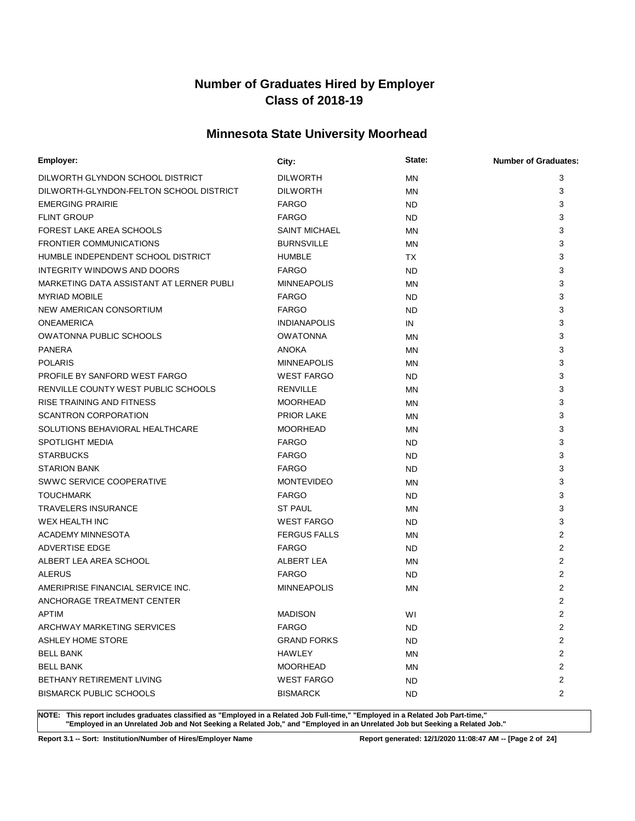## **Minnesota State University Moorhead**

| Employer:                                | City:                | State:    | <b>Number of Graduates:</b> |
|------------------------------------------|----------------------|-----------|-----------------------------|
| DILWORTH GLYNDON SCHOOL DISTRICT         | <b>DILWORTH</b>      | <b>MN</b> | 3                           |
| DILWORTH-GLYNDON-FELTON SCHOOL DISTRICT  | <b>DILWORTH</b>      | ΜN        | 3                           |
| <b>EMERGING PRAIRIE</b>                  | <b>FARGO</b>         | <b>ND</b> | 3                           |
| <b>FLINT GROUP</b>                       | <b>FARGO</b>         | <b>ND</b> | 3                           |
| FOREST LAKE AREA SCHOOLS                 | <b>SAINT MICHAEL</b> | MN        | 3                           |
| <b>FRONTIER COMMUNICATIONS</b>           | <b>BURNSVILLE</b>    | ΜN        | 3                           |
| HUMBLE INDEPENDENT SCHOOL DISTRICT       | <b>HUMBLE</b>        | <b>TX</b> | 3                           |
| INTEGRITY WINDOWS AND DOORS              | <b>FARGO</b>         | <b>ND</b> | 3                           |
| MARKETING DATA ASSISTANT AT LERNER PUBLI | <b>MINNEAPOLIS</b>   | MN        | 3                           |
| <b>MYRIAD MOBILE</b>                     | <b>FARGO</b>         | <b>ND</b> | 3                           |
| NEW AMERICAN CONSORTIUM                  | <b>FARGO</b>         | <b>ND</b> | 3                           |
| <b>ONEAMERICA</b>                        | <b>INDIANAPOLIS</b>  | IN        | 3                           |
| OWATONNA PUBLIC SCHOOLS                  | <b>OWATONNA</b>      | MN        | 3                           |
| <b>PANERA</b>                            | <b>ANOKA</b>         | MN        | 3                           |
| <b>POLARIS</b>                           | <b>MINNEAPOLIS</b>   | MN        | 3                           |
| PROFILE BY SANFORD WEST FARGO            | <b>WEST FARGO</b>    | <b>ND</b> | 3                           |
| RENVILLE COUNTY WEST PUBLIC SCHOOLS      | <b>RENVILLE</b>      | MN        | 3                           |
| <b>RISE TRAINING AND FITNESS</b>         | <b>MOORHEAD</b>      | MN        | 3                           |
| <b>SCANTRON CORPORATION</b>              | <b>PRIOR LAKE</b>    | MN        | 3                           |
| SOLUTIONS BEHAVIORAL HEALTHCARE          | <b>MOORHEAD</b>      | MN        | 3                           |
| <b>SPOTLIGHT MEDIA</b>                   | <b>FARGO</b>         | <b>ND</b> | 3                           |
| <b>STARBUCKS</b>                         | <b>FARGO</b>         | <b>ND</b> | 3                           |
| <b>STARION BANK</b>                      | <b>FARGO</b>         | <b>ND</b> | 3                           |
| SWWC SERVICE COOPERATIVE                 | <b>MONTEVIDEO</b>    | MN        | 3                           |
| <b>TOUCHMARK</b>                         | <b>FARGO</b>         | <b>ND</b> | 3                           |
| <b>TRAVELERS INSURANCE</b>               | <b>ST PAUL</b>       | MN        | 3                           |
| <b>WEX HEALTH INC</b>                    | <b>WEST FARGO</b>    | <b>ND</b> | 3                           |
| <b>ACADEMY MINNESOTA</b>                 | <b>FERGUS FALLS</b>  | ΜN        | 2                           |
| ADVERTISE EDGE                           | <b>FARGO</b>         | <b>ND</b> | $\overline{2}$              |
| ALBERT LEA AREA SCHOOL                   | ALBERT LEA           | ΜN        | 2                           |
| <b>ALERUS</b>                            | <b>FARGO</b>         | <b>ND</b> | $\overline{2}$              |
| AMERIPRISE FINANCIAL SERVICE INC.        | <b>MINNEAPOLIS</b>   | ΜN        | $\overline{2}$              |
| ANCHORAGE TREATMENT CENTER               |                      |           | $\overline{2}$              |
| APTIM                                    | <b>MADISON</b>       | WI        | 2                           |
| ARCHWAY MARKETING SERVICES               | <b>FARGO</b>         | ND        | 2                           |
| <b>ASHLEY HOME STORE</b>                 | <b>GRAND FORKS</b>   | ND.       | 2                           |
| <b>BELL BANK</b>                         | HAWLEY               | ΜN        | 2                           |
| <b>BELL BANK</b>                         | <b>MOORHEAD</b>      | ΜN        | 2                           |
| BETHANY RETIREMENT LIVING                | <b>WEST FARGO</b>    | <b>ND</b> | 2                           |
| <b>BISMARCK PUBLIC SCHOOLS</b>           | <b>BISMARCK</b>      | ND.       | 2                           |

**NOTE: This report includes graduates classified as "Employed in a Related Job Full-time," "Employed in a Related Job Part-time," "Employed in an Unrelated Job and Not Seeking a Related Job," and "Employed in an Unrelated Job but Seeking a Related Job."**

**Report 3.1 -- Sort: Institution/Number of Hires/Employer Name Report generated: 12/1/2020 11:08:47 AM -- [Page 2 of 24]**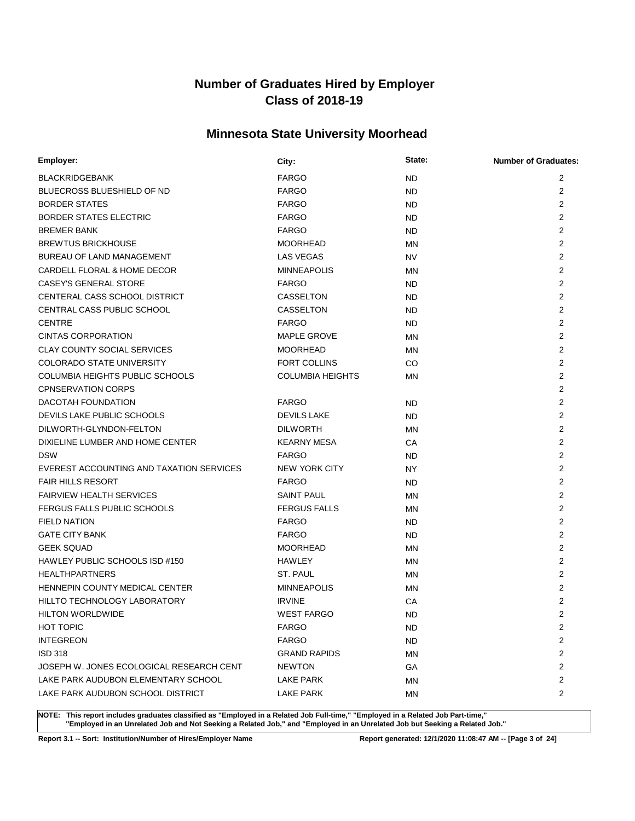## **Minnesota State University Moorhead**

| Employer:                                | City:                   | State:    | <b>Number of Graduates:</b> |
|------------------------------------------|-------------------------|-----------|-----------------------------|
| <b>BLACKRIDGEBANK</b>                    | <b>FARGO</b>            | <b>ND</b> | 2                           |
| <b>BLUECROSS BLUESHIELD OF ND</b>        | <b>FARGO</b>            | <b>ND</b> | 2                           |
| <b>BORDER STATES</b>                     | <b>FARGO</b>            | <b>ND</b> | $\overline{2}$              |
| <b>BORDER STATES ELECTRIC</b>            | <b>FARGO</b>            | <b>ND</b> | $\overline{2}$              |
| <b>BREMER BANK</b>                       | <b>FARGO</b>            | <b>ND</b> | $\overline{2}$              |
| <b>BREWTUS BRICKHOUSE</b>                | <b>MOORHEAD</b>         | ΜN        | $\overline{2}$              |
| <b>BUREAU OF LAND MANAGEMENT</b>         | <b>LAS VEGAS</b>        | <b>NV</b> | $\overline{2}$              |
| CARDELL FLORAL & HOME DECOR              | <b>MINNEAPOLIS</b>      | <b>MN</b> | $\overline{2}$              |
| CASEY'S GENERAL STORE                    | <b>FARGO</b>            | <b>ND</b> | $\overline{2}$              |
| CENTERAL CASS SCHOOL DISTRICT            | CASSELTON               | <b>ND</b> | $\overline{2}$              |
| CENTRAL CASS PUBLIC SCHOOL               | CASSELTON               | <b>ND</b> | $\overline{2}$              |
| <b>CENTRE</b>                            | <b>FARGO</b>            | <b>ND</b> | $\overline{2}$              |
| <b>CINTAS CORPORATION</b>                | <b>MAPLE GROVE</b>      | <b>MN</b> | 2                           |
| <b>CLAY COUNTY SOCIAL SERVICES</b>       | <b>MOORHEAD</b>         | ΜN        | $\overline{2}$              |
| COLORADO STATE UNIVERSITY                | <b>FORT COLLINS</b>     | CO        | $\overline{2}$              |
| COLUMBIA HEIGHTS PUBLIC SCHOOLS          | <b>COLUMBIA HEIGHTS</b> | <b>MN</b> | 2                           |
| <b>CPNSERVATION CORPS</b>                |                         |           | $\overline{2}$              |
| DACOTAH FOUNDATION                       | <b>FARGO</b>            | <b>ND</b> | $\overline{2}$              |
| DEVILS LAKE PUBLIC SCHOOLS               | <b>DEVILS LAKE</b>      | <b>ND</b> | $\overline{2}$              |
| DILWORTH-GLYNDON-FELTON                  | <b>DILWORTH</b>         | MN        | $\overline{2}$              |
| DIXIELINE LUMBER AND HOME CENTER         | <b>KEARNY MESA</b>      | CA        | $\overline{2}$              |
| <b>DSW</b>                               | <b>FARGO</b>            | <b>ND</b> | $\overline{2}$              |
| EVEREST ACCOUNTING AND TAXATION SERVICES | <b>NEW YORK CITY</b>    | NY.       | $\overline{2}$              |
| <b>FAIR HILLS RESORT</b>                 | <b>FARGO</b>            | <b>ND</b> | 2                           |
| <b>FAIRVIEW HEALTH SERVICES</b>          | <b>SAINT PAUL</b>       | MN        | 2                           |
| FERGUS FALLS PUBLIC SCHOOLS              | <b>FERGUS FALLS</b>     | MN        | $\overline{2}$              |
| <b>FIELD NATION</b>                      | <b>FARGO</b>            | <b>ND</b> | 2                           |
| <b>GATE CITY BANK</b>                    | <b>FARGO</b>            | ND.       | $\overline{2}$              |
| <b>GEEK SQUAD</b>                        | <b>MOORHEAD</b>         | <b>MN</b> | 2                           |
| HAWLEY PUBLIC SCHOOLS ISD #150           | <b>HAWLEY</b>           | ΜN        | $\overline{2}$              |
| <b>HEALTHPARTNERS</b>                    | ST. PAUL                | MN        | 2                           |
| HENNEPIN COUNTY MEDICAL CENTER           | <b>MINNEAPOLIS</b>      | <b>MN</b> | 2                           |
| HILLTO TECHNOLOGY LABORATORY             | <b>IRVINE</b>           | CA        | 2                           |
| <b>HILTON WORLDWIDE</b>                  | <b>WEST FARGO</b>       | <b>ND</b> | $\overline{2}$              |
| <b>HOT TOPIC</b>                         | <b>FARGO</b>            | ND        | 2                           |
| <b>INTEGREON</b>                         | <b>FARGO</b>            | ND        | 2                           |
| <b>ISD 318</b>                           | <b>GRAND RAPIDS</b>     | MN        | 2                           |
| JOSEPH W. JONES ECOLOGICAL RESEARCH CENT | <b>NEWTON</b>           | GA        | $\overline{2}$              |
| LAKE PARK AUDUBON ELEMENTARY SCHOOL      | LAKE PARK               | MN        | 2                           |
| LAKE PARK AUDUBON SCHOOL DISTRICT        | LAKE PARK               | ΜN        | 2                           |

**NOTE: This report includes graduates classified as "Employed in a Related Job Full-time," "Employed in a Related Job Part-time," "Employed in an Unrelated Job and Not Seeking a Related Job," and "Employed in an Unrelated Job but Seeking a Related Job."**

**Report 3.1 -- Sort: Institution/Number of Hires/Employer Name Report generated: 12/1/2020 11:08:47 AM -- [Page 3 of 24]**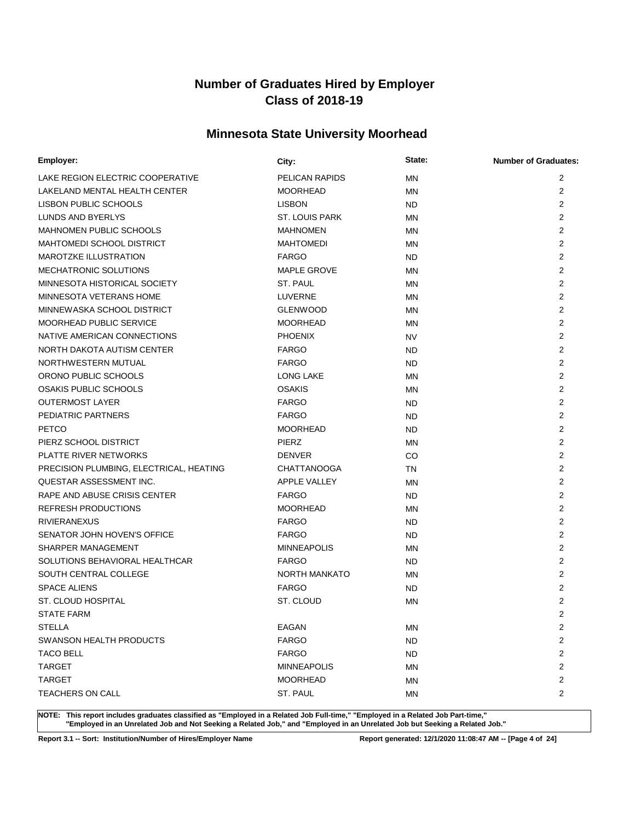## **Minnesota State University Moorhead**

| Employer:                               | City:                 | State:    | <b>Number of Graduates:</b> |
|-----------------------------------------|-----------------------|-----------|-----------------------------|
| LAKE REGION ELECTRIC COOPERATIVE        | PELICAN RAPIDS        | ΜN        | 2                           |
| LAKELAND MENTAL HEALTH CENTER           | <b>MOORHEAD</b>       | MN        | 2                           |
| LISBON PUBLIC SCHOOLS                   | <b>LISBON</b>         | <b>ND</b> | 2                           |
| LUNDS AND BYERLYS                       | <b>ST. LOUIS PARK</b> | MN        | 2                           |
| <b>MAHNOMEN PUBLIC SCHOOLS</b>          | <b>MAHNOMEN</b>       | MN        | 2                           |
| <b>MAHTOMEDI SCHOOL DISTRICT</b>        | <b>MAHTOMEDI</b>      | MN        | 2                           |
| <b>MAROTZKE ILLUSTRATION</b>            | <b>FARGO</b>          | <b>ND</b> | 2                           |
| MECHATRONIC SOLUTIONS                   | <b>MAPLE GROVE</b>    | MN        | 2                           |
| MINNESOTA HISTORICAL SOCIETY            | ST. PAUL              | ΜN        | 2                           |
| MINNESOTA VETERANS HOME                 | LUVERNE               | MN        | $\overline{2}$              |
| MINNEWASKA SCHOOL DISTRICT              | <b>GLENWOOD</b>       | ΜN        | 2                           |
| <b>MOORHEAD PUBLIC SERVICE</b>          | <b>MOORHEAD</b>       | ΜN        | $\overline{2}$              |
| NATIVE AMERICAN CONNECTIONS             | <b>PHOENIX</b>        | <b>NV</b> | 2                           |
| NORTH DAKOTA AUTISM CENTER              | <b>FARGO</b>          | <b>ND</b> | $\overline{2}$              |
| NORTHWESTERN MUTUAL                     | <b>FARGO</b>          | <b>ND</b> | $\overline{2}$              |
| ORONO PUBLIC SCHOOLS                    | <b>LONG LAKE</b>      | MN        | $\overline{2}$              |
| <b>OSAKIS PUBLIC SCHOOLS</b>            | <b>OSAKIS</b>         | ΜN        | 2                           |
| <b>OUTERMOST LAYER</b>                  | <b>FARGO</b>          | <b>ND</b> | 2                           |
| PEDIATRIC PARTNERS                      | <b>FARGO</b>          | <b>ND</b> | $\overline{2}$              |
| <b>PETCO</b>                            | <b>MOORHEAD</b>       | <b>ND</b> | $\overline{2}$              |
| PIERZ SCHOOL DISTRICT                   | <b>PIERZ</b>          | ΜN        | $\overline{2}$              |
| PLATTE RIVER NETWORKS                   | <b>DENVER</b>         | CO        | $\overline{2}$              |
| PRECISION PLUMBING, ELECTRICAL, HEATING | <b>CHATTANOOGA</b>    | TN        | $\overline{2}$              |
| QUESTAR ASSESSMENT INC.                 | <b>APPLE VALLEY</b>   | MN        | $\overline{2}$              |
| RAPE AND ABUSE CRISIS CENTER            | <b>FARGO</b>          | <b>ND</b> | 2                           |
| <b>REFRESH PRODUCTIONS</b>              | <b>MOORHEAD</b>       | MN        | $\overline{2}$              |
| <b>RIVIERANEXUS</b>                     | <b>FARGO</b>          | <b>ND</b> | 2                           |
| SENATOR JOHN HOVEN'S OFFICE             | <b>FARGO</b>          | <b>ND</b> | 2                           |
| SHARPER MANAGEMENT                      | <b>MINNEAPOLIS</b>    | ΜN        | 2                           |
| SOLUTIONS BEHAVIORAL HEALTHCAR          | <b>FARGO</b>          | <b>ND</b> | 2                           |
| SOUTH CENTRAL COLLEGE                   | <b>NORTH MANKATO</b>  | ΜN        | 2                           |
| <b>SPACE ALIENS</b>                     | <b>FARGO</b>          | <b>ND</b> | 2                           |
| ST. CLOUD HOSPITAL                      | ST. CLOUD             | ΜN        | 2                           |
| <b>STATE FARM</b>                       |                       |           | 2                           |
| <b>STELLA</b>                           | <b>EAGAN</b>          | ΜN        | 2                           |
| SWANSON HEALTH PRODUCTS                 | <b>FARGO</b>          | <b>ND</b> | 2                           |
| <b>TACO BELL</b>                        | <b>FARGO</b>          | ND.       | 2                           |
| <b>TARGET</b>                           | <b>MINNEAPOLIS</b>    | ΜN        | $\overline{2}$              |
| <b>TARGET</b>                           | <b>MOORHEAD</b>       | ΜN        | $\overline{c}$              |
| <b>TEACHERS ON CALL</b>                 | ST. PAUL              | MN        | 2                           |

**NOTE: This report includes graduates classified as "Employed in a Related Job Full-time," "Employed in a Related Job Part-time," "Employed in an Unrelated Job and Not Seeking a Related Job," and "Employed in an Unrelated Job but Seeking a Related Job."**

**Report 3.1 -- Sort: Institution/Number of Hires/Employer Name Report generated: 12/1/2020 11:08:47 AM -- [Page 4 of 24]**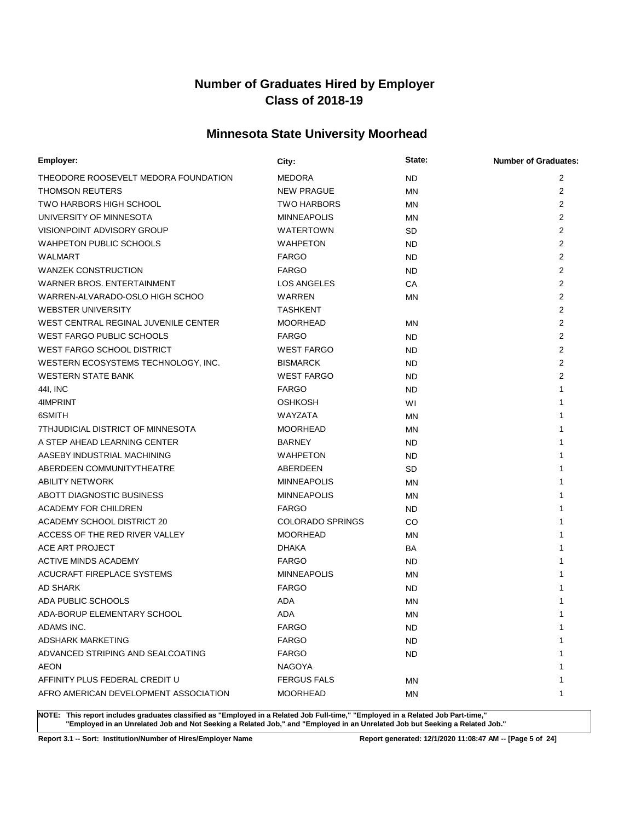## **Minnesota State University Moorhead**

| Employer:                             | City:                   | State:    | <b>Number of Graduates:</b> |
|---------------------------------------|-------------------------|-----------|-----------------------------|
| THEODORE ROOSEVELT MEDORA FOUNDATION  | <b>MEDORA</b>           | <b>ND</b> | 2                           |
| THOMSON REUTERS                       | <b>NEW PRAGUE</b>       | MN        | 2                           |
| <b>TWO HARBORS HIGH SCHOOL</b>        | <b>TWO HARBORS</b>      | MN        | 2                           |
| UNIVERSITY OF MINNESOTA               | <b>MINNEAPOLIS</b>      | ΜN        | $\overline{2}$              |
| VISIONPOINT ADVISORY GROUP            | WATERTOWN               | <b>SD</b> | 2                           |
| <b>WAHPETON PUBLIC SCHOOLS</b>        | <b>WAHPETON</b>         | ND.       | $\overline{2}$              |
| WALMART                               | <b>FARGO</b>            | <b>ND</b> | 2                           |
| <b>WANZEK CONSTRUCTION</b>            | <b>FARGO</b>            | ND        | 2                           |
| WARNER BROS, ENTERTAINMENT            | LOS ANGELES             | CA        | 2                           |
| WARREN-ALVARADO-OSLO HIGH SCHOO       | <b>WARREN</b>           | MN        | $\overline{2}$              |
| <b>WEBSTER UNIVERSITY</b>             | <b>TASHKENT</b>         |           | $\overline{2}$              |
| WEST CENTRAL REGINAL JUVENILE CENTER  | <b>MOORHEAD</b>         | MN        | $\overline{2}$              |
| <b>WEST FARGO PUBLIC SCHOOLS</b>      | <b>FARGO</b>            | ND        | $\overline{2}$              |
| WEST FARGO SCHOOL DISTRICT            | <b>WEST FARGO</b>       | ND        | $\overline{2}$              |
| WESTERN ECOSYSTEMS TECHNOLOGY, INC.   | <b>BISMARCK</b>         | <b>ND</b> | $\overline{2}$              |
| <b>WESTERN STATE BANK</b>             | <b>WEST FARGO</b>       | <b>ND</b> | $\overline{2}$              |
| 441, INC                              | <b>FARGO</b>            | <b>ND</b> | 1                           |
| 4IMPRINT                              | <b>OSHKOSH</b>          | WI        | 1                           |
| 6SMITH                                | WAYZATA                 | <b>MN</b> | 1                           |
| 7THJUDICIAL DISTRICT OF MINNESOTA     | <b>MOORHEAD</b>         | ΜN        | 1                           |
| A STEP AHEAD LEARNING CENTER          | <b>BARNEY</b>           | ND.       | 1                           |
| AASEBY INDUSTRIAL MACHINING           | <b>WAHPETON</b>         | ND.       | 1                           |
| ABERDEEN COMMUNITYTHEATRE             | ABERDEEN                | <b>SD</b> | 1                           |
| <b>ABILITY NETWORK</b>                | <b>MINNEAPOLIS</b>      | MN        | 1                           |
| ABOTT DIAGNOSTIC BUSINESS             | <b>MINNEAPOLIS</b>      | ΜN        | 1                           |
| ACADEMY FOR CHILDREN                  | <b>FARGO</b>            | ND.       | 1                           |
| ACADEMY SCHOOL DISTRICT 20            | <b>COLORADO SPRINGS</b> | CO        | 1                           |
| ACCESS OF THE RED RIVER VALLEY        | <b>MOORHEAD</b>         | MN        | 1                           |
| ACE ART PROJECT                       | <b>DHAKA</b>            | <b>BA</b> | 1                           |
| <b>ACTIVE MINDS ACADEMY</b>           | <b>FARGO</b>            | ND.       | 1                           |
| ACUCRAFT FIREPLACE SYSTEMS            | <b>MINNEAPOLIS</b>      | MN        | 1                           |
| AD SHARK                              | <b>FARGO</b>            | <b>ND</b> | 1                           |
| ADA PUBLIC SCHOOLS                    | ADA                     | ΜN        | 1                           |
| ADA-BORUP ELEMENTARY SCHOOL           | ADA                     | MN        | 1                           |
| ADAMS INC.                            | <b>FARGO</b>            | ND        | 1                           |
| <b>ADSHARK MARKETING</b>              | <b>FARGO</b>            | ND.       | 1                           |
| ADVANCED STRIPING AND SEALCOATING     | <b>FARGO</b>            | ND.       | 1                           |
| AEON                                  | NAGOYA                  |           | 1                           |
| AFFINITY PLUS FEDERAL CREDIT U        | <b>FERGUS FALS</b>      | ΜN        | 1                           |
| AFRO AMERICAN DEVELOPMENT ASSOCIATION | <b>MOORHEAD</b>         | ΜN        | 1                           |

**NOTE: This report includes graduates classified as "Employed in a Related Job Full-time," "Employed in a Related Job Part-time," "Employed in an Unrelated Job and Not Seeking a Related Job," and "Employed in an Unrelated Job but Seeking a Related Job."**

**Report 3.1 -- Sort: Institution/Number of Hires/Employer Name Report generated: 12/1/2020 11:08:47 AM -- [Page 5 of 24]**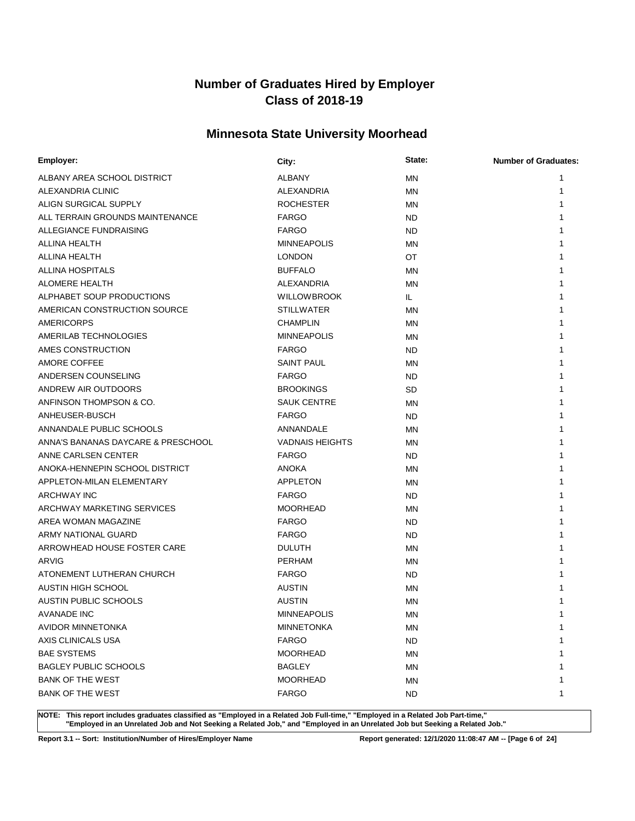## **Minnesota State University Moorhead**

| Employer:                          | City:                  | State:    | <b>Number of Graduates:</b> |
|------------------------------------|------------------------|-----------|-----------------------------|
| ALBANY AREA SCHOOL DISTRICT        | <b>ALBANY</b>          | <b>MN</b> | 1                           |
| ALEXANDRIA CLINIC                  | <b>ALEXANDRIA</b>      | MN        | 1                           |
| ALIGN SURGICAL SUPPLY              | <b>ROCHESTER</b>       | MN        | 1                           |
| ALL TERRAIN GROUNDS MAINTENANCE    | <b>FARGO</b>           | <b>ND</b> |                             |
| ALLEGIANCE FUNDRAISING             | <b>FARGO</b>           | <b>ND</b> | 1                           |
| ALLINA HEALTH                      | <b>MINNEAPOLIS</b>     | MN        |                             |
| ALLINA HEALTH                      | <b>LONDON</b>          | OT        |                             |
| ALLINA HOSPITALS                   | <b>BUFFALO</b>         | MN        | 1                           |
| <b>ALOMERE HEALTH</b>              | ALEXANDRIA             | <b>MN</b> |                             |
| ALPHABET SOUP PRODUCTIONS          | <b>WILLOWBROOK</b>     | IL.       |                             |
| AMERICAN CONSTRUCTION SOURCE       | <b>STILLWATER</b>      | MN        |                             |
| <b>AMERICORPS</b>                  | <b>CHAMPLIN</b>        | MN        |                             |
| AMERILAB TECHNOLOGIES              | <b>MINNEAPOLIS</b>     | ΜN        | 1                           |
| AMES CONSTRUCTION                  | <b>FARGO</b>           | <b>ND</b> | 1                           |
| AMORE COFFEE                       | <b>SAINT PAUL</b>      | MN        | 1                           |
| ANDERSEN COUNSELING                | <b>FARGO</b>           | <b>ND</b> | 1                           |
| ANDREW AIR OUTDOORS                | <b>BROOKINGS</b>       | <b>SD</b> | 1                           |
| ANFINSON THOMPSON & CO.            | <b>SAUK CENTRE</b>     | MN        | 1                           |
| ANHEUSER-BUSCH                     | <b>FARGO</b>           | <b>ND</b> |                             |
| ANNANDALE PUBLIC SCHOOLS           | ANNANDALE              | MN        | 1                           |
| ANNA'S BANANAS DAYCARE & PRESCHOOL | <b>VADNAIS HEIGHTS</b> | ΜN        | 1                           |
| ANNE CARLSEN CENTER                | <b>FARGO</b>           | <b>ND</b> | 1                           |
| ANOKA-HENNEPIN SCHOOL DISTRICT     | <b>ANOKA</b>           | MN        | 1                           |
| APPLETON-MILAN ELEMENTARY          | <b>APPLETON</b>        | MN        | 1                           |
| <b>ARCHWAY INC</b>                 | <b>FARGO</b>           | <b>ND</b> | 1                           |
| ARCHWAY MARKETING SERVICES         | <b>MOORHEAD</b>        | MN        | 1                           |
| AREA WOMAN MAGAZINE                | <b>FARGO</b>           | <b>ND</b> | 1                           |
| ARMY NATIONAL GUARD                | <b>FARGO</b>           | <b>ND</b> | 1                           |
| ARROWHEAD HOUSE FOSTER CARE        | <b>DULUTH</b>          | MN        | 1                           |
| <b>ARVIG</b>                       | <b>PERHAM</b>          | MN        | 1                           |
| ATONEMENT LUTHERAN CHURCH          | <b>FARGO</b>           | <b>ND</b> |                             |
| <b>AUSTIN HIGH SCHOOL</b>          | <b>AUSTIN</b>          | ΜN        |                             |
| <b>AUSTIN PUBLIC SCHOOLS</b>       | <b>AUSTIN</b>          | MN        |                             |
| AVANADE INC                        | <b>MINNEAPOLIS</b>     | MN        | 1                           |
| AVIDOR MINNETONKA                  | <b>MINNETONKA</b>      | ΜN        | 1                           |
| AXIS CLINICALS USA                 | <b>FARGO</b>           | <b>ND</b> | 1                           |
| <b>BAE SYSTEMS</b>                 | <b>MOORHEAD</b>        | ΜN        | 1                           |
| <b>BAGLEY PUBLIC SCHOOLS</b>       | <b>BAGLEY</b>          | MN        | 1                           |
| <b>BANK OF THE WEST</b>            | <b>MOORHEAD</b>        | MN        | 1                           |
| <b>BANK OF THE WEST</b>            | <b>FARGO</b>           | <b>ND</b> | 1                           |

**NOTE: This report includes graduates classified as "Employed in a Related Job Full-time," "Employed in a Related Job Part-time," "Employed in an Unrelated Job and Not Seeking a Related Job," and "Employed in an Unrelated Job but Seeking a Related Job."**

**Report 3.1 -- Sort: Institution/Number of Hires/Employer Name Report generated: 12/1/2020 11:08:47 AM -- [Page 6 of 24]**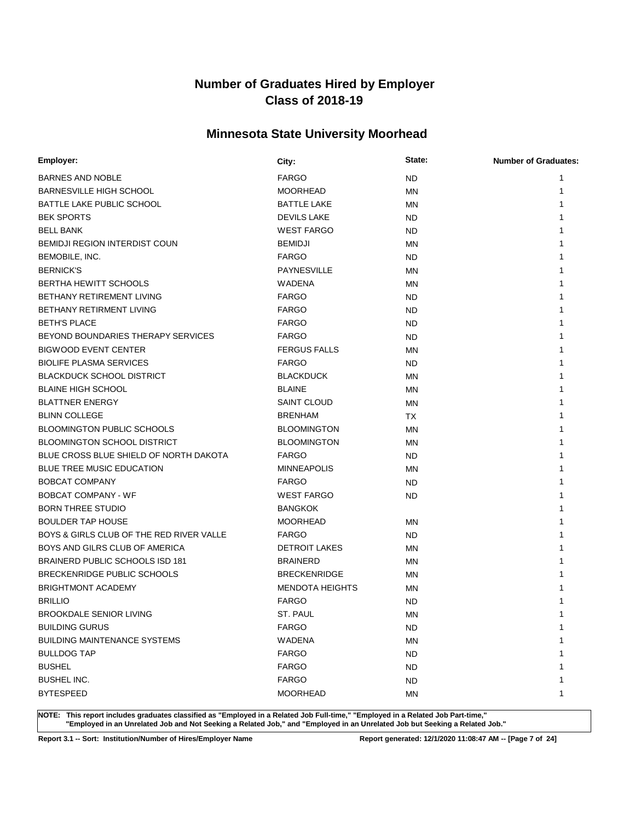## **Minnesota State University Moorhead**

| Employer:                                | City:                  | State:    | <b>Number of Graduates:</b> |
|------------------------------------------|------------------------|-----------|-----------------------------|
| BARNES AND NOBLE                         | <b>FARGO</b>           | <b>ND</b> | 1                           |
| <b>BARNESVILLE HIGH SCHOOL</b>           | <b>MOORHEAD</b>        | ΜN        |                             |
| BATTLE LAKE PUBLIC SCHOOL                | <b>BATTLE LAKE</b>     | ΜN        |                             |
| <b>BEK SPORTS</b>                        | <b>DEVILS LAKE</b>     | ND        |                             |
| <b>BELL BANK</b>                         | <b>WEST FARGO</b>      | <b>ND</b> |                             |
| <b>BEMIDJI REGION INTERDIST COUN</b>     | <b>BEMIDJI</b>         | ΜN        | 1                           |
| BEMOBILE, INC.                           | <b>FARGO</b>           | <b>ND</b> |                             |
| <b>BERNICK'S</b>                         | <b>PAYNESVILLE</b>     | ΜN        |                             |
| BERTHA HEWITT SCHOOLS                    | <b>WADENA</b>          | ΜN        |                             |
| BETHANY RETIREMENT LIVING                | <b>FARGO</b>           | <b>ND</b> |                             |
| BETHANY RETIRMENT LIVING                 | <b>FARGO</b>           | <b>ND</b> |                             |
| <b>BETH'S PLACE</b>                      | <b>FARGO</b>           | ND.       |                             |
| BEYOND BOUNDARIES THERAPY SERVICES       | <b>FARGO</b>           | <b>ND</b> |                             |
| <b>BIGWOOD EVENT CENTER</b>              | <b>FERGUS FALLS</b>    | ΜN        |                             |
| <b>BIOLIFE PLASMA SERVICES</b>           | <b>FARGO</b>           | <b>ND</b> |                             |
| <b>BLACKDUCK SCHOOL DISTRICT</b>         | <b>BLACKDUCK</b>       | ΜN        |                             |
| <b>BLAINE HIGH SCHOOL</b>                | <b>BLAINE</b>          | ΜN        |                             |
| <b>BLATTNER ENERGY</b>                   | SAINT CLOUD            | ΜN        |                             |
| <b>BLINN COLLEGE</b>                     | <b>BRENHAM</b>         | TX        |                             |
| <b>BLOOMINGTON PUBLIC SCHOOLS</b>        | <b>BLOOMINGTON</b>     | ΜN        |                             |
| <b>BLOOMINGTON SCHOOL DISTRICT</b>       | <b>BLOOMINGTON</b>     | ΜN        |                             |
| BLUE CROSS BLUE SHIELD OF NORTH DAKOTA   | <b>FARGO</b>           | <b>ND</b> |                             |
| BLUE TREE MUSIC EDUCATION                | <b>MINNEAPOLIS</b>     | ΜN        |                             |
| <b>BOBCAT COMPANY</b>                    | <b>FARGO</b>           | ND.       |                             |
| <b>BOBCAT COMPANY - WF</b>               | <b>WEST FARGO</b>      | <b>ND</b> |                             |
| <b>BORN THREE STUDIO</b>                 | <b>BANGKOK</b>         |           |                             |
| <b>BOULDER TAP HOUSE</b>                 | <b>MOORHEAD</b>        | ΜN        |                             |
| BOYS & GIRLS CLUB OF THE RED RIVER VALLE | <b>FARGO</b>           | ND.       |                             |
| BOYS AND GILRS CLUB OF AMERICA           | <b>DETROIT LAKES</b>   | ΜN        |                             |
| BRAINERD PUBLIC SCHOOLS ISD 181          | <b>BRAINERD</b>        | ΜN        |                             |
| BRECKENRIDGE PUBLIC SCHOOLS              | <b>BRECKENRIDGE</b>    | ΜN        |                             |
| <b>BRIGHTMONT ACADEMY</b>                | <b>MENDOTA HEIGHTS</b> | ΜN        |                             |
| <b>BRILLIO</b>                           | <b>FARGO</b>           | <b>ND</b> |                             |
| <b>BROOKDALE SENIOR LIVING</b>           | ST. PAUL               | MN        | 1                           |
| <b>BUILDING GURUS</b>                    | <b>FARGO</b>           | ND        | 1                           |
| <b>BUILDING MAINTENANCE SYSTEMS</b>      | <b>WADENA</b>          | <b>MN</b> |                             |
| <b>BULLDOG TAP</b>                       | <b>FARGO</b>           | <b>ND</b> | 1                           |
| <b>BUSHEL</b>                            | <b>FARGO</b>           | ND        |                             |
| <b>BUSHEL INC.</b>                       | <b>FARGO</b>           | ND        | 1                           |
| <b>BYTESPEED</b>                         | <b>MOORHEAD</b>        | ΜN        | 1                           |

**NOTE: This report includes graduates classified as "Employed in a Related Job Full-time," "Employed in a Related Job Part-time," "Employed in an Unrelated Job and Not Seeking a Related Job," and "Employed in an Unrelated Job but Seeking a Related Job."**

**Report 3.1 -- Sort: Institution/Number of Hires/Employer Name Report generated: 12/1/2020 11:08:47 AM -- [Page 7 of 24]**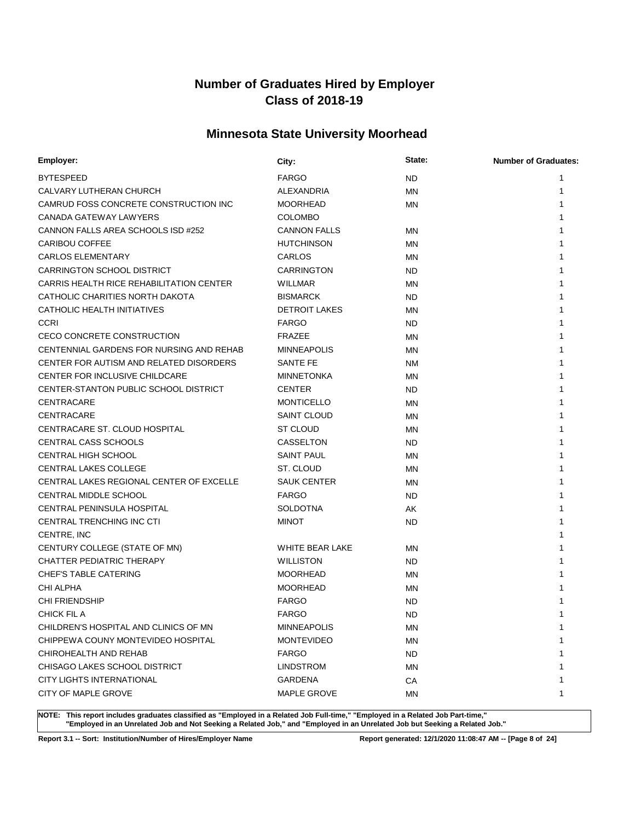## **Minnesota State University Moorhead**

| Employer:                                | City:                | State:    | <b>Number of Graduates:</b> |
|------------------------------------------|----------------------|-----------|-----------------------------|
| <b>BYTESPEED</b>                         | <b>FARGO</b>         | <b>ND</b> | 1                           |
| CALVARY LUTHERAN CHURCH                  | <b>ALEXANDRIA</b>    | <b>MN</b> | 1                           |
| CAMRUD FOSS CONCRETE CONSTRUCTION INC    | <b>MOORHEAD</b>      | MN        | 1                           |
| CANADA GATEWAY LAWYERS                   | <b>COLOMBO</b>       |           |                             |
| CANNON FALLS AREA SCHOOLS ISD #252       | <b>CANNON FALLS</b>  | MN        | 1                           |
| <b>CARIBOU COFFEE</b>                    | <b>HUTCHINSON</b>    | <b>MN</b> | 1                           |
| <b>CARLOS ELEMENTARY</b>                 | CARLOS               | MN        | 1                           |
| <b>CARRINGTON SCHOOL DISTRICT</b>        | <b>CARRINGTON</b>    | ND        | 1                           |
| CARRIS HEALTH RICE REHABILITATION CENTER | <b>WILLMAR</b>       | MN        | 1                           |
| CATHOLIC CHARITIES NORTH DAKOTA          | <b>BISMARCK</b>      | <b>ND</b> | 1                           |
| CATHOLIC HEALTH INITIATIVES              | <b>DETROIT LAKES</b> | MN        | 1                           |
| <b>CCRI</b>                              | <b>FARGO</b>         | ND.       | 1                           |
| CECO CONCRETE CONSTRUCTION               | <b>FRAZEE</b>        | MN        | 1                           |
| CENTENNIAL GARDENS FOR NURSING AND REHAB | <b>MINNEAPOLIS</b>   | ΜN        | 1                           |
| CENTER FOR AUTISM AND RELATED DISORDERS  | <b>SANTE FE</b>      | <b>NM</b> | 1                           |
| CENTER FOR INCLUSIVE CHILDCARE           | <b>MINNETONKA</b>    | MN        | 1                           |
| CENTER-STANTON PUBLIC SCHOOL DISTRICT    | <b>CENTER</b>        | <b>ND</b> | 1                           |
| CENTRACARE                               | <b>MONTICELLO</b>    | MN        | 1                           |
| CENTRACARE                               | <b>SAINT CLOUD</b>   | MN        | 1                           |
| CENTRACARE ST. CLOUD HOSPITAL            | <b>ST CLOUD</b>      | MN        | 1                           |
| <b>CENTRAL CASS SCHOOLS</b>              | CASSELTON            | ND.       | 1                           |
| <b>CENTRAL HIGH SCHOOL</b>               | <b>SAINT PAUL</b>    | MN        | 1                           |
| CENTRAL LAKES COLLEGE                    | ST. CLOUD            | MN        | 1                           |
| CENTRAL LAKES REGIONAL CENTER OF EXCELLE | <b>SAUK CENTER</b>   | MN        | 1                           |
| CENTRAL MIDDLE SCHOOL                    | <b>FARGO</b>         | ND.       | 1                           |
| <b>CENTRAL PENINSULA HOSPITAL</b>        | <b>SOLDOTNA</b>      | AK        | 1                           |
| CENTRAL TRENCHING INC CTI                | <b>MINOT</b>         | <b>ND</b> | 1                           |
| CENTRE, INC                              |                      |           |                             |
| CENTURY COLLEGE (STATE OF MN)            | WHITE BEAR LAKE      | MN        | 1                           |
| CHATTER PEDIATRIC THERAPY                | <b>WILLISTON</b>     | <b>ND</b> | 1                           |
| <b>CHEF'S TABLE CATERING</b>             | <b>MOORHEAD</b>      | MN        | 1                           |
| <b>CHI ALPHA</b>                         | <b>MOORHEAD</b>      | ΜN        |                             |
| <b>CHI FRIENDSHIP</b>                    | <b>FARGO</b>         | <b>ND</b> | 1                           |
| <b>CHICK FIL A</b>                       | <b>FARGO</b>         | <b>ND</b> | 1                           |
| CHILDREN'S HOSPITAL AND CLINICS OF MN    | <b>MINNEAPOLIS</b>   | ΜN        | 1                           |
| CHIPPEWA COUNY MONTEVIDEO HOSPITAL       | <b>MONTEVIDEO</b>    | ΜN        | 1                           |
| CHIROHEALTH AND REHAB                    | <b>FARGO</b>         | ND.       | 1                           |
| CHISAGO LAKES SCHOOL DISTRICT            | <b>LINDSTROM</b>     | ΜN        | 1                           |
| CITY LIGHTS INTERNATIONAL                | <b>GARDENA</b>       | CA        | 1                           |
| CITY OF MAPLE GROVE                      | <b>MAPLE GROVE</b>   | ΜN        | 1                           |

**NOTE: This report includes graduates classified as "Employed in a Related Job Full-time," "Employed in a Related Job Part-time," "Employed in an Unrelated Job and Not Seeking a Related Job," and "Employed in an Unrelated Job but Seeking a Related Job."**

**Report 3.1 -- Sort: Institution/Number of Hires/Employer Name Report generated: 12/1/2020 11:08:47 AM -- [Page 8 of 24]**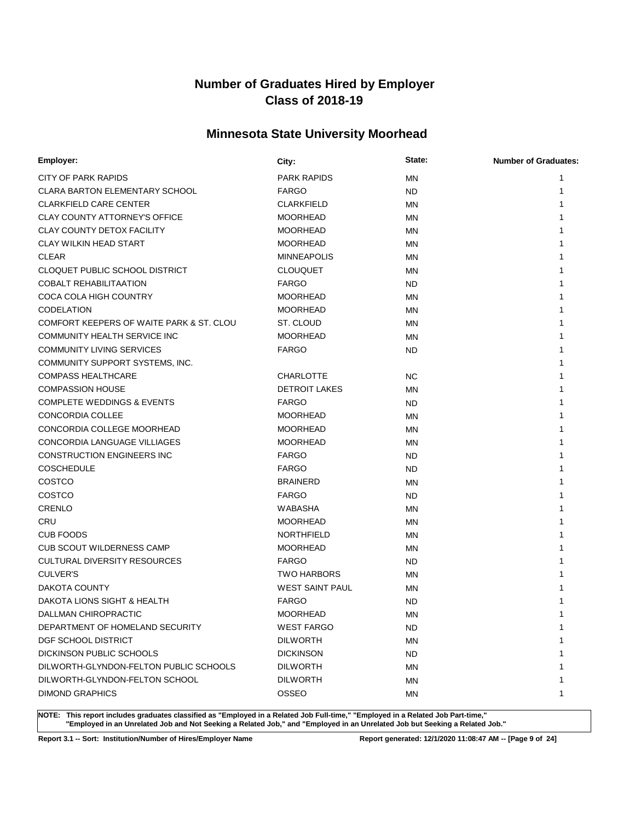## **Minnesota State University Moorhead**

| Employer:                                | City:                  | State:    | <b>Number of Graduates:</b> |
|------------------------------------------|------------------------|-----------|-----------------------------|
| <b>CITY OF PARK RAPIDS</b>               | <b>PARK RAPIDS</b>     | ΜN        | 1                           |
| <b>CLARA BARTON ELEMENTARY SCHOOL</b>    | <b>FARGO</b>           | <b>ND</b> | 1                           |
| <b>CLARKFIELD CARE CENTER</b>            | <b>CLARKFIELD</b>      | ΜN        | 1                           |
| <b>CLAY COUNTY ATTORNEY'S OFFICE</b>     | <b>MOORHEAD</b>        | MN        | 1                           |
| <b>CLAY COUNTY DETOX FACILITY</b>        | <b>MOORHEAD</b>        | ΜN        | 1                           |
| <b>CLAY WILKIN HEAD START</b>            | <b>MOORHEAD</b>        | MN        | 1                           |
| <b>CLEAR</b>                             | <b>MINNEAPOLIS</b>     | MN        | 1                           |
| CLOQUET PUBLIC SCHOOL DISTRICT           | <b>CLOUQUET</b>        | MN        | 1                           |
| <b>COBALT REHABILITAATION</b>            | <b>FARGO</b>           | <b>ND</b> | 1                           |
| COCA COLA HIGH COUNTRY                   | <b>MOORHEAD</b>        | MN        |                             |
| <b>CODELATION</b>                        | <b>MOORHEAD</b>        | ΜN        |                             |
| COMFORT KEEPERS OF WAITE PARK & ST. CLOU | ST. CLOUD              | MN        | 1                           |
| COMMUNITY HEALTH SERVICE INC             | <b>MOORHEAD</b>        | ΜN        | 1                           |
| <b>COMMUNITY LIVING SERVICES</b>         | <b>FARGO</b>           | <b>ND</b> | 1                           |
| COMMUNITY SUPPORT SYSTEMS, INC.          |                        |           |                             |
| <b>COMPASS HEALTHCARE</b>                | <b>CHARLOTTE</b>       | <b>NC</b> | 1                           |
| <b>COMPASSION HOUSE</b>                  | <b>DETROIT LAKES</b>   | ΜN        | 1                           |
| <b>COMPLETE WEDDINGS &amp; EVENTS</b>    | <b>FARGO</b>           | <b>ND</b> |                             |
| <b>CONCORDIA COLLEE</b>                  | <b>MOORHEAD</b>        | ΜN        |                             |
| CONCORDIA COLLEGE MOORHEAD               | <b>MOORHEAD</b>        | ΜN        | 1                           |
| CONCORDIA LANGUAGE VILLIAGES             | <b>MOORHEAD</b>        | ΜN        | 1                           |
| <b>CONSTRUCTION ENGINEERS INC</b>        | <b>FARGO</b>           | <b>ND</b> | 1                           |
| <b>COSCHEDULE</b>                        | <b>FARGO</b>           | <b>ND</b> | 1                           |
| COSTCO                                   | <b>BRAINERD</b>        | ΜN        | 1                           |
| COSTCO                                   | <b>FARGO</b>           | <b>ND</b> | 1                           |
| <b>CRENLO</b>                            | WABASHA                | ΜN        | 1                           |
| CRU                                      | <b>MOORHEAD</b>        | ΜN        | 1                           |
| <b>CUB FOODS</b>                         | <b>NORTHFIELD</b>      | MN        | 1                           |
| <b>CUB SCOUT WILDERNESS CAMP</b>         | <b>MOORHEAD</b>        | ΜN        | 1                           |
| <b>CULTURAL DIVERSITY RESOURCES</b>      | <b>FARGO</b>           | <b>ND</b> | 1                           |
| <b>CULVER'S</b>                          | <b>TWO HARBORS</b>     | ΜN        |                             |
| DAKOTA COUNTY                            | <b>WEST SAINT PAUL</b> | ΜN        |                             |
| DAKOTA LIONS SIGHT & HEALTH              | <b>FARGO</b>           | <b>ND</b> |                             |
| DALLMAN CHIROPRACTIC                     | <b>MOORHEAD</b>        | ΜN        | 1                           |
| DEPARTMENT OF HOMELAND SECURITY          | WEST FARGO             | ND.       | 1                           |
| DGF SCHOOL DISTRICT                      | <b>DILWORTH</b>        | <b>MN</b> | 1                           |
| DICKINSON PUBLIC SCHOOLS                 | <b>DICKINSON</b>       | <b>ND</b> | 1                           |
| DILWORTH-GLYNDON-FELTON PUBLIC SCHOOLS   | <b>DILWORTH</b>        | ΜN        | 1                           |
| DILWORTH-GLYNDON-FELTON SCHOOL           | <b>DILWORTH</b>        | ΜN        | 1                           |
| <b>DIMOND GRAPHICS</b>                   | OSSEO                  | ΜN        | 1                           |

**NOTE: This report includes graduates classified as "Employed in a Related Job Full-time," "Employed in a Related Job Part-time," "Employed in an Unrelated Job and Not Seeking a Related Job," and "Employed in an Unrelated Job but Seeking a Related Job."**

**Report 3.1 -- Sort: Institution/Number of Hires/Employer Name Report generated: 12/1/2020 11:08:47 AM -- [Page 9 of 24]**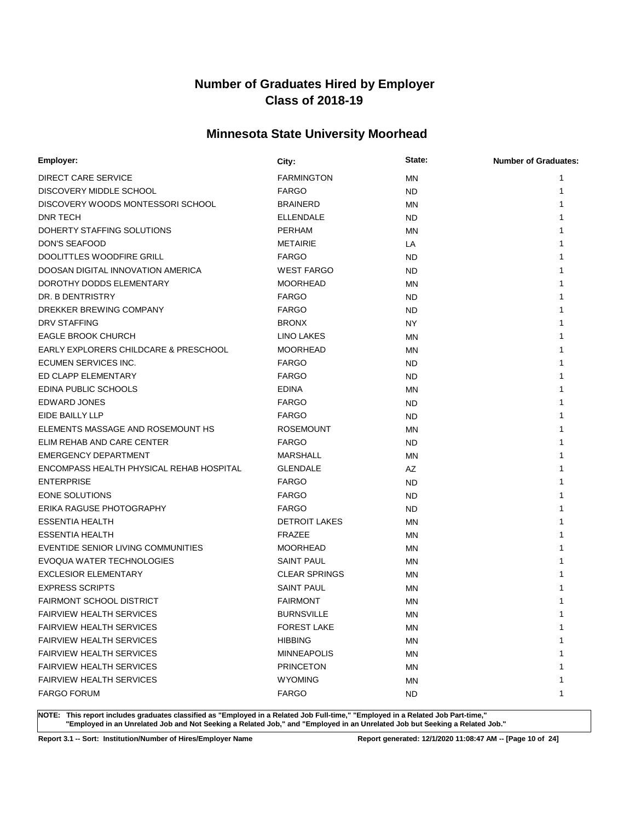## **Minnesota State University Moorhead**

| Employer:                                | City:                | State:    | <b>Number of Graduates:</b> |
|------------------------------------------|----------------------|-----------|-----------------------------|
| <b>DIRECT CARE SERVICE</b>               | <b>FARMINGTON</b>    | ΜN        | 1                           |
| DISCOVERY MIDDLE SCHOOL                  | <b>FARGO</b>         | <b>ND</b> | 1                           |
| DISCOVERY WOODS MONTESSORI SCHOOL        | <b>BRAINERD</b>      | ΜN        | 1                           |
| <b>DNR TECH</b>                          | <b>ELLENDALE</b>     | <b>ND</b> | 1                           |
| DOHERTY STAFFING SOLUTIONS               | <b>PERHAM</b>        | ΜN        | 1                           |
| <b>DON'S SEAFOOD</b>                     | <b>METAIRIE</b>      | LA        | 1                           |
| DOOLITTLES WOODFIRE GRILL                | <b>FARGO</b>         | <b>ND</b> |                             |
| DOOSAN DIGITAL INNOVATION AMERICA        | <b>WEST FARGO</b>    | <b>ND</b> |                             |
| DOROTHY DODDS ELEMENTARY                 | <b>MOORHEAD</b>      | ΜN        |                             |
| DR. B DENTRISTRY                         | <b>FARGO</b>         | <b>ND</b> |                             |
| DREKKER BREWING COMPANY                  | <b>FARGO</b>         | <b>ND</b> |                             |
| DRV STAFFING                             | <b>BRONX</b>         | <b>NY</b> | 1                           |
| <b>EAGLE BROOK CHURCH</b>                | LINO LAKES           | ΜN        | 1                           |
| EARLY EXPLORERS CHILDCARE & PRESCHOOL    | <b>MOORHEAD</b>      | ΜN        | 1                           |
| ECUMEN SERVICES INC.                     | <b>FARGO</b>         | <b>ND</b> |                             |
| ED CLAPP ELEMENTARY                      | <b>FARGO</b>         | <b>ND</b> |                             |
| EDINA PUBLIC SCHOOLS                     | <b>EDINA</b>         | ΜN        |                             |
| <b>EDWARD JONES</b>                      | <b>FARGO</b>         | <b>ND</b> |                             |
| EIDE BAILLY LLP                          | <b>FARGO</b>         | <b>ND</b> |                             |
| ELEMENTS MASSAGE AND ROSEMOUNT HS        | <b>ROSEMOUNT</b>     | ΜN        | 1                           |
| ELIM REHAB AND CARE CENTER               | <b>FARGO</b>         | <b>ND</b> | 1                           |
| <b>EMERGENCY DEPARTMENT</b>              | <b>MARSHALL</b>      | ΜN        | 1                           |
| ENCOMPASS HEALTH PHYSICAL REHAB HOSPITAL | <b>GLENDALE</b>      | AZ        | 1                           |
| <b>ENTERPRISE</b>                        | <b>FARGO</b>         | <b>ND</b> | 1                           |
| EONE SOLUTIONS                           | <b>FARGO</b>         | <b>ND</b> | 1                           |
| ERIKA RAGUSE PHOTOGRAPHY                 | <b>FARGO</b>         | <b>ND</b> | 1                           |
| <b>ESSENTIA HEALTH</b>                   | <b>DETROIT LAKES</b> | ΜN        | 1                           |
| <b>ESSENTIA HEALTH</b>                   | <b>FRAZEE</b>        | MN        | 1                           |
| EVENTIDE SENIOR LIVING COMMUNITIES       | <b>MOORHEAD</b>      | ΜN        | 1                           |
| EVOQUA WATER TECHNOLOGIES                | <b>SAINT PAUL</b>    | MN        |                             |
| <b>EXCLESIOR ELEMENTARY</b>              | <b>CLEAR SPRINGS</b> | ΜN        |                             |
| <b>EXPRESS SCRIPTS</b>                   | <b>SAINT PAUL</b>    | ΜN        |                             |
| FAIRMONT SCHOOL DISTRICT                 | <b>FAIRMONT</b>      | MN        |                             |
| FAIRVIEW HEALTH SERVICES                 | <b>BURNSVILLE</b>    | ΜN        | 1                           |
| <b>FAIRVIEW HEALTH SERVICES</b>          | <b>FOREST LAKE</b>   | ΜN        | 1                           |
| <b>FAIRVIEW HEALTH SERVICES</b>          | <b>HIBBING</b>       | <b>MN</b> | 1                           |
| <b>FAIRVIEW HEALTH SERVICES</b>          | <b>MINNEAPOLIS</b>   | ΜN        | 1                           |
| <b>FAIRVIEW HEALTH SERVICES</b>          | <b>PRINCETON</b>     | ΜN        | 1                           |
| <b>FAIRVIEW HEALTH SERVICES</b>          | <b>WYOMING</b>       | ΜN        | 1                           |
| <b>FARGO FORUM</b>                       | <b>FARGO</b>         | <b>ND</b> | 1                           |

**NOTE: This report includes graduates classified as "Employed in a Related Job Full-time," "Employed in a Related Job Part-time," "Employed in an Unrelated Job and Not Seeking a Related Job," and "Employed in an Unrelated Job but Seeking a Related Job."**

**Report 3.1 -- Sort: Institution/Number of Hires/Employer Name Report generated: 12/1/2020 11:08:47 AM -- [Page 10 of 24]**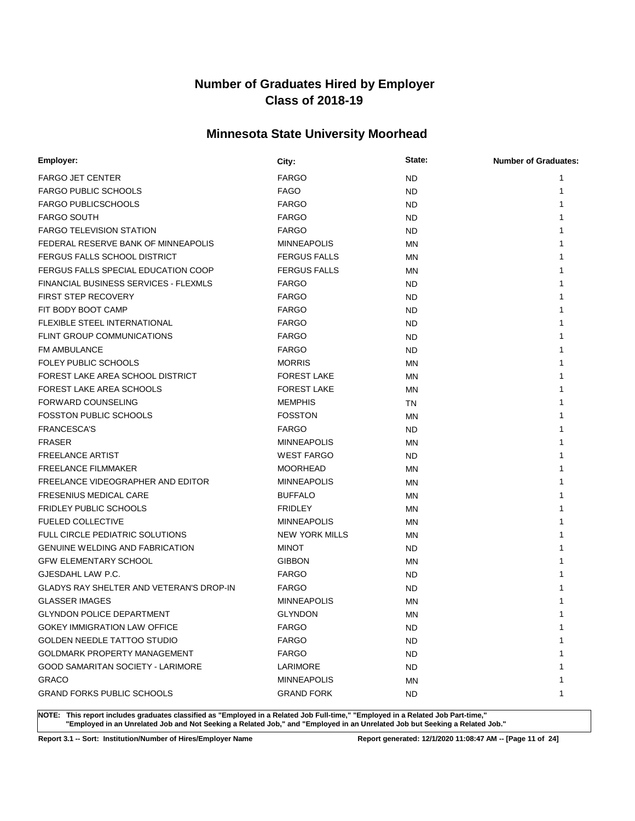## **Minnesota State University Moorhead**

| Employer:                                       | City:                 | State:    | <b>Number of Graduates:</b> |
|-------------------------------------------------|-----------------------|-----------|-----------------------------|
| <b>FARGO JET CENTER</b>                         | <b>FARGO</b>          | ND        | 1                           |
| <b>FARGO PUBLIC SCHOOLS</b>                     | <b>FAGO</b>           | ND        | 1                           |
| <b>FARGO PUBLICSCHOOLS</b>                      | <b>FARGO</b>          | <b>ND</b> | 1                           |
| <b>FARGO SOUTH</b>                              | <b>FARGO</b>          | ND        |                             |
| <b>FARGO TELEVISION STATION</b>                 | <b>FARGO</b>          | ND        |                             |
| FEDERAL RESERVE BANK OF MINNEAPOLIS             | <b>MINNEAPOLIS</b>    | ΜN        | 1                           |
| FERGUS FALLS SCHOOL DISTRICT                    | <b>FERGUS FALLS</b>   | ΜN        | 1                           |
| FERGUS FALLS SPECIAL EDUCATION COOP             | <b>FERGUS FALLS</b>   | ΜN        | 1                           |
| FINANCIAL BUSINESS SERVICES - FLEXMLS           | <b>FARGO</b>          | ND.       |                             |
| <b>FIRST STEP RECOVERY</b>                      | <b>FARGO</b>          | ND.       |                             |
| FIT BODY BOOT CAMP                              | <b>FARGO</b>          | <b>ND</b> |                             |
| FLEXIBLE STEEL INTERNATIONAL                    | <b>FARGO</b>          | ND.       |                             |
| <b>FLINT GROUP COMMUNICATIONS</b>               | <b>FARGO</b>          | <b>ND</b> |                             |
| <b>FM AMBULANCE</b>                             | <b>FARGO</b>          | <b>ND</b> |                             |
| <b>FOLEY PUBLIC SCHOOLS</b>                     | <b>MORRIS</b>         | ΜN        | 1                           |
| FOREST LAKE AREA SCHOOL DISTRICT                | <b>FOREST LAKE</b>    | ΜN        |                             |
| <b>FOREST LAKE AREA SCHOOLS</b>                 | <b>FOREST LAKE</b>    | ΜN        |                             |
| <b>FORWARD COUNSELING</b>                       | <b>MEMPHIS</b>        | ΤN        |                             |
| <b>FOSSTON PUBLIC SCHOOLS</b>                   | <b>FOSSTON</b>        | ΜN        |                             |
| <b>FRANCESCA'S</b>                              | <b>FARGO</b>          | ND        |                             |
| <b>FRASER</b>                                   | <b>MINNEAPOLIS</b>    | <b>MN</b> |                             |
| <b>FREELANCE ARTIST</b>                         | <b>WEST FARGO</b>     | ND.       | 1                           |
| <b>FREELANCE FILMMAKER</b>                      | <b>MOORHEAD</b>       | ΜN        | 1                           |
| FREELANCE VIDEOGRAPHER AND EDITOR               | <b>MINNEAPOLIS</b>    | ΜN        |                             |
| <b>FRESENIUS MEDICAL CARE</b>                   | <b>BUFFALO</b>        | ΜN        |                             |
| <b>FRIDLEY PUBLIC SCHOOLS</b>                   | <b>FRIDLEY</b>        | ΜN        |                             |
| <b>FUELED COLLECTIVE</b>                        | <b>MINNEAPOLIS</b>    | ΜN        |                             |
| <b>FULL CIRCLE PEDIATRIC SOLUTIONS</b>          | <b>NEW YORK MILLS</b> | ΜN        |                             |
| <b>GENUINE WELDING AND FABRICATION</b>          | <b>MINOT</b>          | <b>ND</b> |                             |
| <b>GFW ELEMENTARY SCHOOL</b>                    | <b>GIBBON</b>         | ΜN        |                             |
| GJESDAHL LAW P.C.                               | <b>FARGO</b>          | ND        |                             |
| <b>GLADYS RAY SHELTER AND VETERAN'S DROP-IN</b> | <b>FARGO</b>          | ND        |                             |
| <b>GLASSER IMAGES</b>                           | <b>MINNEAPOLIS</b>    | ΜN        |                             |
| <b>GLYNDON POLICE DEPARTMENT</b>                | <b>GLYNDON</b>        | <b>MN</b> | 1                           |
| <b>GOKEY IMMIGRATION LAW OFFICE</b>             | <b>FARGO</b>          | ND        | 1                           |
| <b>GOLDEN NEEDLE TATTOO STUDIO</b>              | <b>FARGO</b>          | <b>ND</b> | 1                           |
| <b>GOLDMARK PROPERTY MANAGEMENT</b>             | <b>FARGO</b>          | ND        | 1                           |
| <b>GOOD SAMARITAN SOCIETY - LARIMORE</b>        | <b>LARIMORE</b>       | ND        | 1                           |
| <b>GRACO</b>                                    | <b>MINNEAPOLIS</b>    | ΜN        | 1                           |
| <b>GRAND FORKS PUBLIC SCHOOLS</b>               | <b>GRAND FORK</b>     | ND.       | 1                           |

**NOTE: This report includes graduates classified as "Employed in a Related Job Full-time," "Employed in a Related Job Part-time," "Employed in an Unrelated Job and Not Seeking a Related Job," and "Employed in an Unrelated Job but Seeking a Related Job."**

**Report 3.1 -- Sort: Institution/Number of Hires/Employer Name Report generated: 12/1/2020 11:08:47 AM -- [Page 11 of 24]**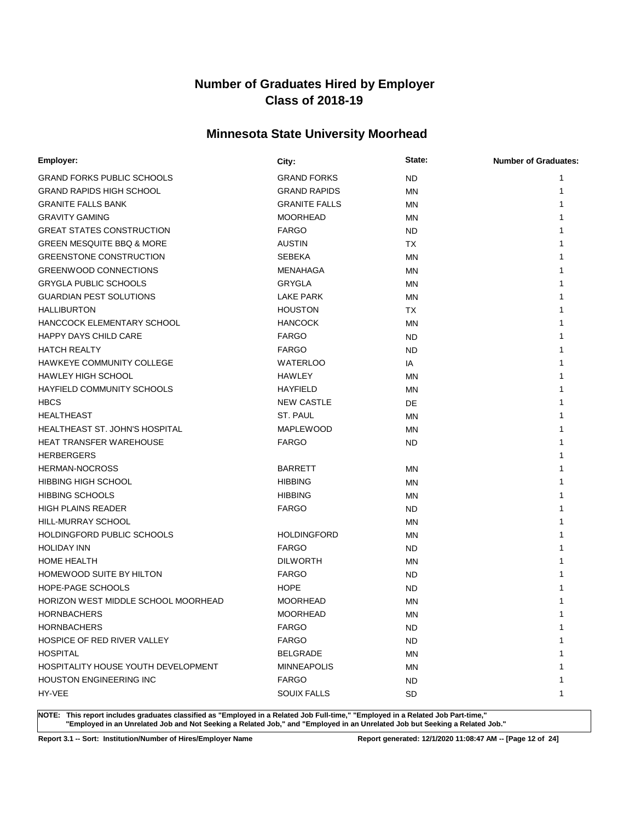## **Minnesota State University Moorhead**

| Employer:                             | City:                | State:    | <b>Number of Graduates:</b> |
|---------------------------------------|----------------------|-----------|-----------------------------|
| <b>GRAND FORKS PUBLIC SCHOOLS</b>     | <b>GRAND FORKS</b>   | <b>ND</b> | 1                           |
| <b>GRAND RAPIDS HIGH SCHOOL</b>       | <b>GRAND RAPIDS</b>  | MN        | 1                           |
| <b>GRANITE FALLS BANK</b>             | <b>GRANITE FALLS</b> | MN        | 1                           |
| <b>GRAVITY GAMING</b>                 | <b>MOORHEAD</b>      | ΜN        | 1                           |
| <b>GREAT STATES CONSTRUCTION</b>      | <b>FARGO</b>         | <b>ND</b> | 1                           |
| <b>GREEN MESQUITE BBQ &amp; MORE</b>  | <b>AUSTIN</b>        | TX        | 1                           |
| <b>GREENSTONE CONSTRUCTION</b>        | <b>SEBEKA</b>        | MN        |                             |
| <b>GREENWOOD CONNECTIONS</b>          | MENAHAGA             | MN        | 1                           |
| <b>GRYGLA PUBLIC SCHOOLS</b>          | GRYGLA               | MN        | 1                           |
| <b>GUARDIAN PEST SOLUTIONS</b>        | <b>LAKE PARK</b>     | MN        |                             |
| <b>HALLIBURTON</b>                    | <b>HOUSTON</b>       | <b>TX</b> |                             |
| <b>HANCCOCK ELEMENTARY SCHOOL</b>     | <b>HANCOCK</b>       | MN        | 1                           |
| <b>HAPPY DAYS CHILD CARE</b>          | <b>FARGO</b>         | <b>ND</b> |                             |
| <b>HATCH REALTY</b>                   | <b>FARGO</b>         | <b>ND</b> |                             |
| HAWKEYE COMMUNITY COLLEGE             | <b>WATERLOO</b>      | IA        |                             |
| <b>HAWLEY HIGH SCHOOL</b>             | <b>HAWLEY</b>        | MN        | 1                           |
| HAYFIELD COMMUNITY SCHOOLS            | <b>HAYFIELD</b>      | MN        | 1                           |
| <b>HBCS</b>                           | <b>NEW CASTLE</b>    | <b>DE</b> |                             |
| <b>HEALTHEAST</b>                     | ST. PAUL             | MN        | 1                           |
| <b>HEALTHEAST ST. JOHN'S HOSPITAL</b> | <b>MAPLEWOOD</b>     | ΜN        | 1                           |
| <b>HEAT TRANSFER WAREHOUSE</b>        | <b>FARGO</b>         | <b>ND</b> | 1                           |
| <b>HERBERGERS</b>                     |                      |           |                             |
| <b>HERMAN-NOCROSS</b>                 | <b>BARRETT</b>       | MN        |                             |
| <b>HIBBING HIGH SCHOOL</b>            | <b>HIBBING</b>       | ΜN        | 1                           |
| <b>HIBBING SCHOOLS</b>                | <b>HIBBING</b>       | MN        | 1                           |
| <b>HIGH PLAINS READER</b>             | <b>FARGO</b>         | <b>ND</b> | 1                           |
| HILL-MURRAY SCHOOL                    |                      | MN        | 1                           |
| HOLDINGFORD PUBLIC SCHOOLS            | <b>HOLDINGFORD</b>   | ΜN        | 1                           |
| <b>HOLIDAY INN</b>                    | <b>FARGO</b>         | <b>ND</b> | 1                           |
| HOME HEALTH                           | <b>DILWORTH</b>      | MN        | 1                           |
| <b>HOMEWOOD SUITE BY HILTON</b>       | <b>FARGO</b>         | <b>ND</b> |                             |
| <b>HOPE-PAGE SCHOOLS</b>              | <b>HOPE</b>          | <b>ND</b> |                             |
| HORIZON WEST MIDDLE SCHOOL MOORHEAD   | <b>MOORHEAD</b>      | <b>MN</b> | 1                           |
| <b>HORNBACHERS</b>                    | <b>MOORHEAD</b>      | MN        | 1                           |
| <b>HORNBACHERS</b>                    | <b>FARGO</b>         | <b>ND</b> | 1                           |
| HOSPICE OF RED RIVER VALLEY           | <b>FARGO</b>         | <b>ND</b> | 1                           |
| <b>HOSPITAL</b>                       | <b>BELGRADE</b>      | MN        | 1                           |
| HOSPITALITY HOUSE YOUTH DEVELOPMENT   | <b>MINNEAPOLIS</b>   | ΜN        | 1                           |
| <b>HOUSTON ENGINEERING INC</b>        | <b>FARGO</b>         | ND.       | 1                           |
| HY-VEE                                | <b>SOUIX FALLS</b>   | <b>SD</b> | 1                           |

**NOTE: This report includes graduates classified as "Employed in a Related Job Full-time," "Employed in a Related Job Part-time," "Employed in an Unrelated Job and Not Seeking a Related Job," and "Employed in an Unrelated Job but Seeking a Related Job."**

**Report 3.1 -- Sort: Institution/Number of Hires/Employer Name Report generated: 12/1/2020 11:08:47 AM -- [Page 12 of 24]**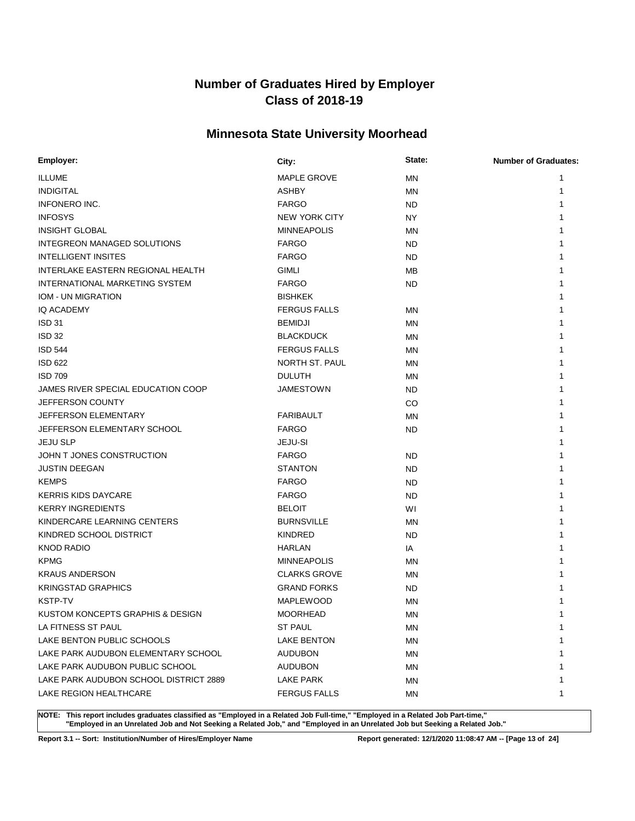## **Minnesota State University Moorhead**

| Employer:                              | City:                | State:    | <b>Number of Graduates:</b> |
|----------------------------------------|----------------------|-----------|-----------------------------|
| <b>ILLUME</b>                          | <b>MAPLE GROVE</b>   | MN        | 1                           |
| <b>INDIGITAL</b>                       | <b>ASHBY</b>         | <b>MN</b> | 1                           |
| <b>INFONERO INC.</b>                   | <b>FARGO</b>         | ND        | 1                           |
| <b>INFOSYS</b>                         | <b>NEW YORK CITY</b> | <b>NY</b> | 1                           |
| <b>INSIGHT GLOBAL</b>                  | <b>MINNEAPOLIS</b>   | MN        | 1                           |
| <b>INTEGREON MANAGED SOLUTIONS</b>     | <b>FARGO</b>         | ND        | 1                           |
| <b>INTELLIGENT INSITES</b>             | <b>FARGO</b>         | ND        |                             |
| INTERLAKE EASTERN REGIONAL HEALTH      | <b>GIMLI</b>         | MВ        |                             |
| INTERNATIONAL MARKETING SYSTEM         | <b>FARGO</b>         | ND        |                             |
| IOM - UN MIGRATION                     | <b>BISHKEK</b>       |           |                             |
| IQ ACADEMY                             | <b>FERGUS FALLS</b>  | ΜN        |                             |
| <b>ISD 31</b>                          | <b>BEMIDJI</b>       | MN        | 1                           |
| <b>ISD 32</b>                          | <b>BLACKDUCK</b>     | MN        | 1                           |
| <b>ISD 544</b>                         | <b>FERGUS FALLS</b>  | MN        | 1                           |
| <b>ISD 622</b>                         | NORTH ST. PAUL       | MN        | 1                           |
| <b>ISD 709</b>                         | <b>DULUTH</b>        | MN        | 1                           |
| JAMES RIVER SPECIAL EDUCATION COOP     | JAMESTOWN            | ND        | 1                           |
| JEFFERSON COUNTY                       |                      | CO        |                             |
| JEFFERSON ELEMENTARY                   | <b>FARIBAULT</b>     | MN        |                             |
| JEFFERSON ELEMENTARY SCHOOL            | <b>FARGO</b>         | ND        | 1                           |
| <b>JEJU SLP</b>                        | JEJU-SI              |           | 1                           |
| JOHN T JONES CONSTRUCTION              | <b>FARGO</b>         | ND        |                             |
| <b>JUSTIN DEEGAN</b>                   | <b>STANTON</b>       | ND        |                             |
| <b>KEMPS</b>                           | <b>FARGO</b>         | <b>ND</b> |                             |
| <b>KERRIS KIDS DAYCARE</b>             | <b>FARGO</b>         | <b>ND</b> | 1                           |
| <b>KERRY INGREDIENTS</b>               | <b>BELOIT</b>        | WI        |                             |
| KINDERCARE LEARNING CENTERS            | <b>BURNSVILLE</b>    | ΜN        | 1                           |
| KINDRED SCHOOL DISTRICT                | <b>KINDRED</b>       | <b>ND</b> | 1                           |
| <b>KNOD RADIO</b>                      | <b>HARLAN</b>        | IA        | 1                           |
| <b>KPMG</b>                            | <b>MINNEAPOLIS</b>   | MN        | 1                           |
| <b>KRAUS ANDERSON</b>                  | <b>CLARKS GROVE</b>  | MN        |                             |
| <b>KRINGSTAD GRAPHICS</b>              | <b>GRAND FORKS</b>   | <b>ND</b> |                             |
| <b>KSTP-TV</b>                         | <b>MAPLEWOOD</b>     | <b>MN</b> |                             |
| KUSTOM KONCEPTS GRAPHIS & DESIGN       | <b>MOORHEAD</b>      | MN        | 1                           |
| LA FITNESS ST PAUL                     | <b>ST PAUL</b>       | ΜN        | 1                           |
| LAKE BENTON PUBLIC SCHOOLS             | <b>LAKE BENTON</b>   | <b>MN</b> | 1                           |
| LAKE PARK AUDUBON ELEMENTARY SCHOOL    | <b>AUDUBON</b>       | ΜN        | 1                           |
| LAKE PARK AUDUBON PUBLIC SCHOOL        | <b>AUDUBON</b>       | MN        | 1                           |
| LAKE PARK AUDUBON SCHOOL DISTRICT 2889 | LAKE PARK            | ΜN        | 1                           |
| LAKE REGION HEALTHCARE                 | <b>FERGUS FALLS</b>  | ΜN        | 1                           |

**NOTE: This report includes graduates classified as "Employed in a Related Job Full-time," "Employed in a Related Job Part-time," "Employed in an Unrelated Job and Not Seeking a Related Job," and "Employed in an Unrelated Job but Seeking a Related Job."**

**Report 3.1 -- Sort: Institution/Number of Hires/Employer Name Report generated: 12/1/2020 11:08:47 AM -- [Page 13 of 24]**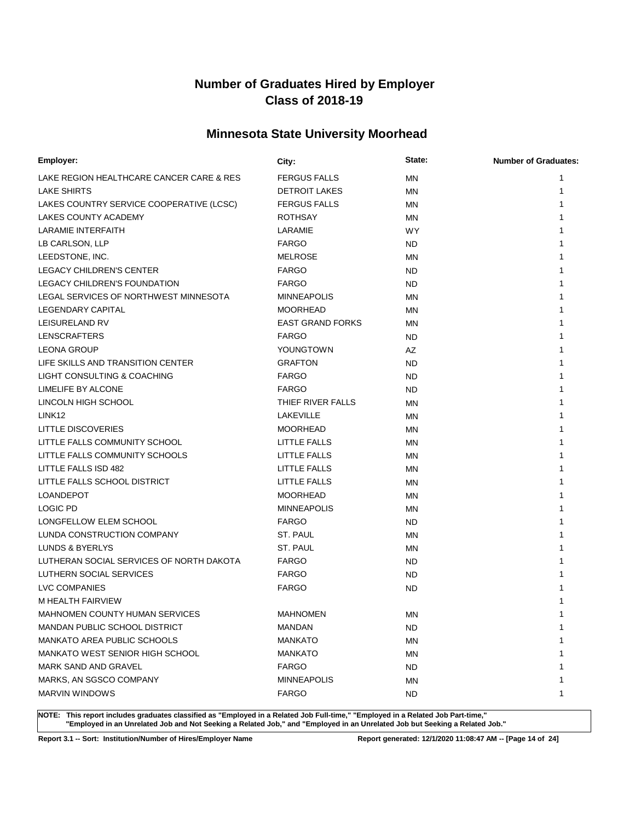## **Minnesota State University Moorhead**

| Employer:                                | City:                   | State:    | <b>Number of Graduates:</b> |
|------------------------------------------|-------------------------|-----------|-----------------------------|
| LAKE REGION HEALTHCARE CANCER CARE & RES | <b>FERGUS FALLS</b>     | <b>MN</b> | 1                           |
| <b>LAKE SHIRTS</b>                       | <b>DETROIT LAKES</b>    | ΜN        | 1                           |
| LAKES COUNTRY SERVICE COOPERATIVE (LCSC) | <b>FERGUS FALLS</b>     | MN        | 1                           |
| <b>LAKES COUNTY ACADEMY</b>              | <b>ROTHSAY</b>          | ΜN        | 1                           |
| LARAMIE INTERFAITH                       | LARAMIE                 | <b>WY</b> | 1                           |
| LB CARLSON, LLP                          | <b>FARGO</b>            | ND        | 1                           |
| LEEDSTONE, INC.                          | <b>MELROSE</b>          | MN        | 1                           |
| <b>LEGACY CHILDREN'S CENTER</b>          | <b>FARGO</b>            | ND        |                             |
| LEGACY CHILDREN'S FOUNDATION             | <b>FARGO</b>            | <b>ND</b> |                             |
| LEGAL SERVICES OF NORTHWEST MINNESOTA    | <b>MINNEAPOLIS</b>      | MN        |                             |
| LEGENDARY CAPITAL                        | <b>MOORHEAD</b>         | MN        | 1                           |
| LEISURELAND RV                           | <b>EAST GRAND FORKS</b> | MN        | 1                           |
| <b>LENSCRAFTERS</b>                      | <b>FARGO</b>            | <b>ND</b> | 1                           |
| <b>LEONA GROUP</b>                       | YOUNGTOWN               | AZ        |                             |
| LIFE SKILLS AND TRANSITION CENTER        | <b>GRAFTON</b>          | ND.       |                             |
| LIGHT CONSULTING & COACHING              | <b>FARGO</b>            | <b>ND</b> |                             |
| LIMELIFE BY ALCONE                       | <b>FARGO</b>            | <b>ND</b> |                             |
| LINCOLN HIGH SCHOOL                      | THIEF RIVER FALLS       | MN        |                             |
| LINK <sub>12</sub>                       | LAKEVILLE               | MN        |                             |
| LITTLE DISCOVERIES                       | <b>MOORHEAD</b>         | MN        |                             |
| LITTLE FALLS COMMUNITY SCHOOL            | LITTLE FALLS            | MN        |                             |
| LITTLE FALLS COMMUNITY SCHOOLS           | LITTLE FALLS            | MN        |                             |
| LITTLE FALLS ISD 482                     | LITTLE FALLS            | MN        |                             |
| LITTLE FALLS SCHOOL DISTRICT             | LITTLE FALLS            | MN        |                             |
| <b>LOANDEPOT</b>                         | <b>MOORHEAD</b>         | MN        |                             |
| <b>LOGIC PD</b>                          | <b>MINNEAPOLIS</b>      | MN        |                             |
| LONGFELLOW ELEM SCHOOL                   | <b>FARGO</b>            | ND.       | 1                           |
| LUNDA CONSTRUCTION COMPANY               | ST. PAUL                | ΜN        |                             |
| LUNDS & BYERLYS                          | ST. PAUL                | MN        |                             |
| LUTHERAN SOCIAL SERVICES OF NORTH DAKOTA | <b>FARGO</b>            | ND.       |                             |
| LUTHERN SOCIAL SERVICES                  | <b>FARGO</b>            | ND        |                             |
| <b>LVC COMPANIES</b>                     | <b>FARGO</b>            | <b>ND</b> |                             |
| M HEALTH FAIRVIEW                        |                         |           |                             |
| MAHNOMEN COUNTY HUMAN SERVICES           | <b>MAHNOMEN</b>         | ΜN        |                             |
| MANDAN PUBLIC SCHOOL DISTRICT            | <b>MANDAN</b>           | <b>ND</b> | 1                           |
| MANKATO AREA PUBLIC SCHOOLS              | <b>MANKATO</b>          | MN        | 1                           |
| <b>MANKATO WEST SENIOR HIGH SCHOOL</b>   | <b>MANKATO</b>          | ΜN        | 1                           |
| MARK SAND AND GRAVEL                     | <b>FARGO</b>            | ND        | 1                           |
| MARKS, AN SGSCO COMPANY                  | <b>MINNEAPOLIS</b>      | MN        | 1                           |
| MARVIN WINDOWS                           | <b>FARGO</b>            | ND        | 1                           |

**NOTE: This report includes graduates classified as "Employed in a Related Job Full-time," "Employed in a Related Job Part-time," "Employed in an Unrelated Job and Not Seeking a Related Job," and "Employed in an Unrelated Job but Seeking a Related Job."**

**Report 3.1 -- Sort: Institution/Number of Hires/Employer Name Report generated: 12/1/2020 11:08:47 AM -- [Page 14 of 24]**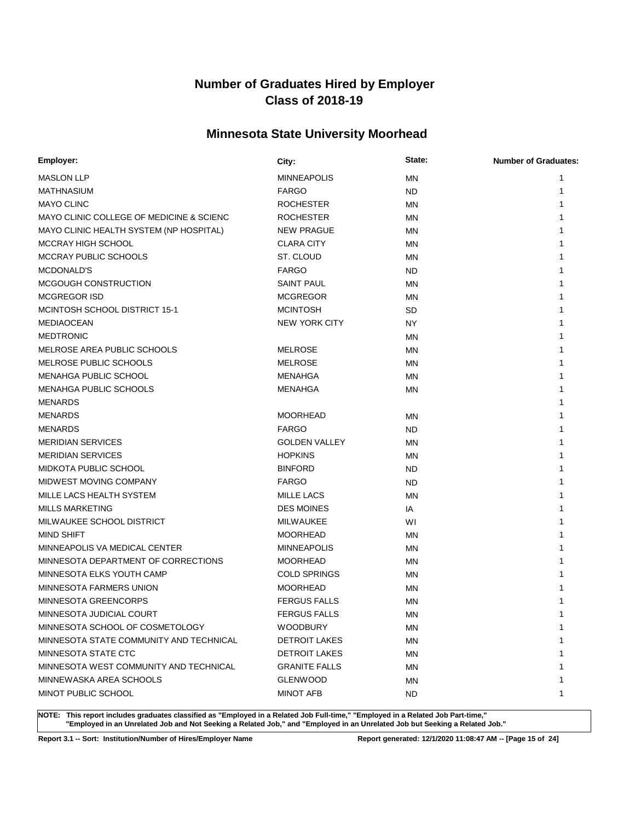## **Minnesota State University Moorhead**

| Employer:                                | City:                | State:    | <b>Number of Graduates:</b> |
|------------------------------------------|----------------------|-----------|-----------------------------|
| <b>MASLON LLP</b>                        | <b>MINNEAPOLIS</b>   | <b>MN</b> | 1                           |
| MATHNASIUM                               | <b>FARGO</b>         | <b>ND</b> |                             |
| <b>MAYO CLINC</b>                        | <b>ROCHESTER</b>     | ΜN        |                             |
| MAYO CLINIC COLLEGE OF MEDICINE & SCIENC | <b>ROCHESTER</b>     | ΜN        |                             |
| MAYO CLINIC HEALTH SYSTEM (NP HOSPITAL)  | <b>NEW PRAGUE</b>    | ΜN        |                             |
| MCCRAY HIGH SCHOOL                       | <b>CLARA CITY</b>    | ΜN        |                             |
| MCCRAY PUBLIC SCHOOLS                    | ST. CLOUD            | ΜN        |                             |
| MCDONALD'S                               | <b>FARGO</b>         | ND.       |                             |
| MCGOUGH CONSTRUCTION                     | <b>SAINT PAUL</b>    | <b>MN</b> |                             |
| <b>MCGREGOR ISD</b>                      | <b>MCGREGOR</b>      | ΜN        |                             |
| MCINTOSH SCHOOL DISTRICT 15-1            | <b>MCINTOSH</b>      | <b>SD</b> |                             |
| <b>MEDIAOCEAN</b>                        | <b>NEW YORK CITY</b> | NY        |                             |
| <b>MEDTRONIC</b>                         |                      | <b>MN</b> |                             |
| MELROSE AREA PUBLIC SCHOOLS              | <b>MELROSE</b>       | ΜN        |                             |
| MELROSE PUBLIC SCHOOLS                   | <b>MELROSE</b>       | ΜN        |                             |
| <b>MENAHGA PUBLIC SCHOOL</b>             | MENAHGA              | ΜN        |                             |
| MENAHGA PUBLIC SCHOOLS                   | <b>MENAHGA</b>       | ΜN        |                             |
| <b>MENARDS</b>                           |                      |           |                             |
| <b>MENARDS</b>                           | <b>MOORHEAD</b>      | ΜN        |                             |
| <b>MENARDS</b>                           | <b>FARGO</b>         | ND.       |                             |
| <b>MERIDIAN SERVICES</b>                 | <b>GOLDEN VALLEY</b> | <b>MN</b> |                             |
| <b>MERIDIAN SERVICES</b>                 | <b>HOPKINS</b>       | ΜN        |                             |
| <b>MIDKOTA PUBLIC SCHOOL</b>             | <b>BINFORD</b>       | ND.       |                             |
| MIDWEST MOVING COMPANY                   | <b>FARGO</b>         | <b>ND</b> |                             |
| MILLE LACS HEALTH SYSTEM                 | <b>MILLE LACS</b>    | ΜN        |                             |
| <b>MILLS MARKETING</b>                   | <b>DES MOINES</b>    | IA        |                             |
| MILWAUKEE SCHOOL DISTRICT                | <b>MILWAUKEE</b>     | WI        |                             |
| <b>MIND SHIFT</b>                        | <b>MOORHEAD</b>      | ΜN        |                             |
| MINNEAPOLIS VA MEDICAL CENTER            | <b>MINNEAPOLIS</b>   | <b>MN</b> |                             |
| MINNESOTA DEPARTMENT OF CORRECTIONS      | <b>MOORHEAD</b>      | ΜN        |                             |
| MINNESOTA ELKS YOUTH CAMP                | <b>COLD SPRINGS</b>  | ΜN        |                             |
| MINNESOTA FARMERS UNION                  | <b>MOORHEAD</b>      | ΜN        |                             |
| MINNESOTA GREENCORPS                     | <b>FERGUS FALLS</b>  | <b>MN</b> |                             |
| MINNESOTA JUDICIAL COURT                 | <b>FERGUS FALLS</b>  | ΜN        | 1                           |
| MINNESOTA SCHOOL OF COSMETOLOGY          | <b>WOODBURY</b>      | ΜN        | 1                           |
| MINNESOTA STATE COMMUNITY AND TECHNICAL  | <b>DETROIT LAKES</b> | ΜN        | 1                           |
| MINNESOTA STATE CTC                      | <b>DETROIT LAKES</b> | ΜN        | 1                           |
| MINNESOTA WEST COMMUNITY AND TECHNICAL   | <b>GRANITE FALLS</b> | ΜN        | 1                           |
| MINNEWASKA AREA SCHOOLS                  | <b>GLENWOOD</b>      | ΜN        | 1                           |
| MINOT PUBLIC SCHOOL                      | <b>MINOT AFB</b>     | ND.       | 1                           |
|                                          |                      |           |                             |

**NOTE: This report includes graduates classified as "Employed in a Related Job Full-time," "Employed in a Related Job Part-time," "Employed in an Unrelated Job and Not Seeking a Related Job," and "Employed in an Unrelated Job but Seeking a Related Job."**

**Report 3.1 -- Sort: Institution/Number of Hires/Employer Name Report generated: 12/1/2020 11:08:47 AM -- [Page 15 of 24]**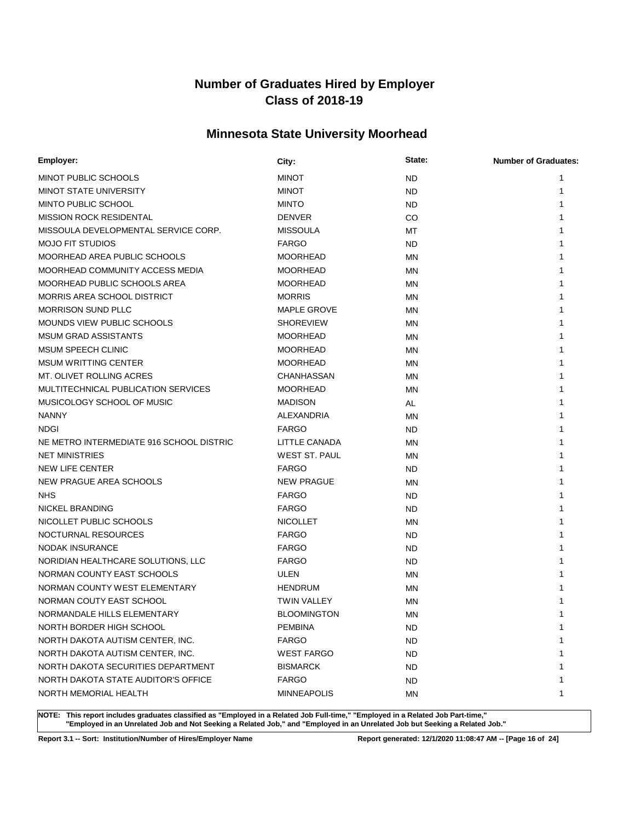## **Minnesota State University Moorhead**

| <b>Employer:</b>                         | City:                | State:    | <b>Number of Graduates:</b> |
|------------------------------------------|----------------------|-----------|-----------------------------|
| MINOT PUBLIC SCHOOLS                     | <b>MINOT</b>         | <b>ND</b> | 1                           |
| <b>MINOT STATE UNIVERSITY</b>            | <b>MINOT</b>         | <b>ND</b> | 1                           |
| MINTO PUBLIC SCHOOL                      | <b>MINTO</b>         | <b>ND</b> |                             |
| <b>MISSION ROCK RESIDENTAL</b>           | <b>DENVER</b>        | CO        |                             |
| MISSOULA DEVELOPMENTAL SERVICE CORP.     | <b>MISSOULA</b>      | МT        |                             |
| <b>MOJO FIT STUDIOS</b>                  | <b>FARGO</b>         | <b>ND</b> | 1                           |
| MOORHEAD AREA PUBLIC SCHOOLS             | <b>MOORHEAD</b>      | ΜN        | 1                           |
| MOORHEAD COMMUNITY ACCESS MEDIA          | <b>MOORHEAD</b>      | ΜN        | 1                           |
| MOORHEAD PUBLIC SCHOOLS AREA             | <b>MOORHEAD</b>      | ΜN        |                             |
| MORRIS AREA SCHOOL DISTRICT              | <b>MORRIS</b>        | ΜN        |                             |
| <b>MORRISON SUND PLLC</b>                | <b>MAPLE GROVE</b>   | MN        |                             |
| MOUNDS VIEW PUBLIC SCHOOLS               | <b>SHOREVIEW</b>     | ΜN        |                             |
| <b>MSUM GRAD ASSISTANTS</b>              | <b>MOORHEAD</b>      | <b>MN</b> |                             |
| MSUM SPEECH CLINIC                       | <b>MOORHEAD</b>      | ΜN        |                             |
| <b>MSUM WRITTING CENTER</b>              | <b>MOORHEAD</b>      | ΜN        |                             |
| MT. OLIVET ROLLING ACRES                 | CHANHASSAN           | ΜN        |                             |
| MULTITECHNICAL PUBLICATION SERVICES      | <b>MOORHEAD</b>      | ΜN        |                             |
| MUSICOLOGY SCHOOL OF MUSIC               | <b>MADISON</b>       | AL        |                             |
| <b>NANNY</b>                             | ALEXANDRIA           | ΜN        |                             |
| <b>NDGI</b>                              | <b>FARGO</b>         | ND        |                             |
| NE METRO INTERMEDIATE 916 SCHOOL DISTRIC | LITTLE CANADA        | <b>MN</b> | 1                           |
| <b>NET MINISTRIES</b>                    | <b>WEST ST. PAUL</b> | ΜN        | 1                           |
| <b>NEW LIFE CENTER</b>                   | <b>FARGO</b>         | <b>ND</b> |                             |
| NEW PRAGUE AREA SCHOOLS                  | <b>NEW PRAGUE</b>    | ΜN        |                             |
| <b>NHS</b>                               | <b>FARGO</b>         | <b>ND</b> |                             |
| NICKEL BRANDING                          | <b>FARGO</b>         | <b>ND</b> |                             |
| NICOLLET PUBLIC SCHOOLS                  | <b>NICOLLET</b>      | MN        |                             |
| NOCTURNAL RESOURCES                      | <b>FARGO</b>         | ND.       |                             |
| <b>NODAK INSURANCE</b>                   | <b>FARGO</b>         | <b>ND</b> |                             |
| NORIDIAN HEALTHCARE SOLUTIONS, LLC       | <b>FARGO</b>         | <b>ND</b> |                             |
| NORMAN COUNTY EAST SCHOOLS               | ULEN                 | ΜN        |                             |
| NORMAN COUNTY WEST ELEMENTARY            | <b>HENDRUM</b>       | ΜN        |                             |
| NORMAN COUTY EAST SCHOOL                 | TWIN VALLEY          | MN        |                             |
| NORMANDALE HILLS ELEMENTARY              | <b>BLOOMINGTON</b>   | ΜN        | 1                           |
| NORTH BORDER HIGH SCHOOL                 | <b>PEMBINA</b>       | ND        | 1                           |
| NORTH DAKOTA AUTISM CENTER, INC.         | <b>FARGO</b>         | ND.       | 1                           |
| NORTH DAKOTA AUTISM CENTER, INC.         | <b>WEST FARGO</b>    | ND        | 1                           |
| NORTH DAKOTA SECURITIES DEPARTMENT       | <b>BISMARCK</b>      | ND        | 1                           |
| NORTH DAKOTA STATE AUDITOR'S OFFICE      | <b>FARGO</b>         | ND        | 1                           |
| NORTH MEMORIAL HEALTH                    | <b>MINNEAPOLIS</b>   | ΜN        | 1                           |

**NOTE: This report includes graduates classified as "Employed in a Related Job Full-time," "Employed in a Related Job Part-time," "Employed in an Unrelated Job and Not Seeking a Related Job," and "Employed in an Unrelated Job but Seeking a Related Job."**

**Report 3.1 -- Sort: Institution/Number of Hires/Employer Name Report generated: 12/1/2020 11:08:47 AM -- [Page 16 of 24]**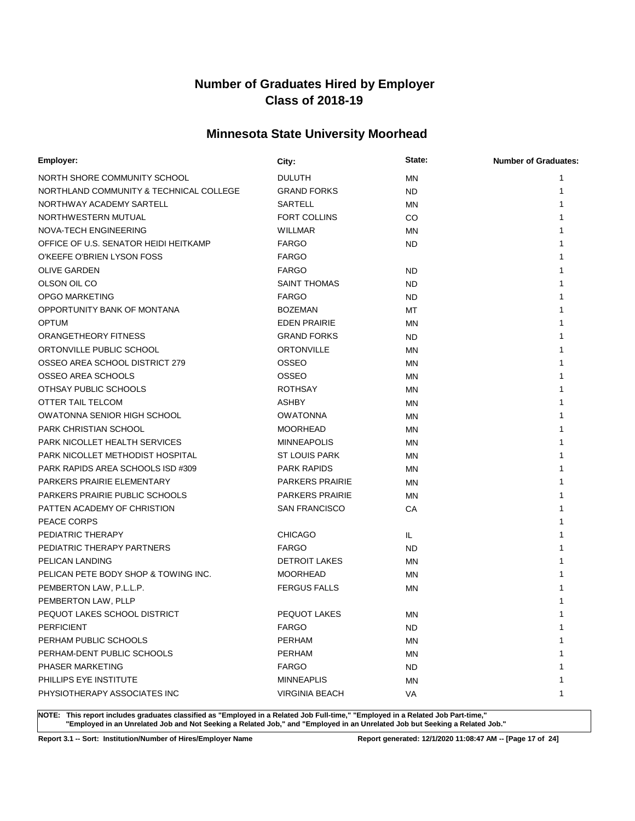## **Minnesota State University Moorhead**

| Employer:                               | City:                  | State:    | <b>Number of Graduates:</b> |
|-----------------------------------------|------------------------|-----------|-----------------------------|
| NORTH SHORE COMMUNITY SCHOOL            | <b>DULUTH</b>          | ΜN        | 1                           |
| NORTHLAND COMMUNITY & TECHNICAL COLLEGE | <b>GRAND FORKS</b>     | <b>ND</b> | 1                           |
| NORTHWAY ACADEMY SARTELL                | <b>SARTELL</b>         | ΜN        | 1                           |
| NORTHWESTERN MUTUAL                     | <b>FORT COLLINS</b>    | CO        | 1                           |
| NOVA-TECH ENGINEERING                   | <b>WILLMAR</b>         | ΜN        | 1                           |
| OFFICE OF U.S. SENATOR HEIDI HEITKAMP   | <b>FARGO</b>           | <b>ND</b> | 1                           |
| O'KEEFE O'BRIEN LYSON FOSS              | <b>FARGO</b>           |           | 1                           |
| <b>OLIVE GARDEN</b>                     | <b>FARGO</b>           | <b>ND</b> | 1                           |
| OLSON OIL CO                            | <b>SAINT THOMAS</b>    | ND        | 1                           |
| <b>OPGO MARKETING</b>                   | <b>FARGO</b>           | <b>ND</b> | 1                           |
| OPPORTUNITY BANK OF MONTANA             | <b>BOZEMAN</b>         | МT        | 1                           |
| <b>OPTUM</b>                            | <b>EDEN PRAIRIE</b>    | ΜN        | 1                           |
| ORANGETHEORY FITNESS                    | <b>GRAND FORKS</b>     | ND.       | 1                           |
| ORTONVILLE PUBLIC SCHOOL                | ORTONVILLE             | ΜN        | 1                           |
| OSSEO AREA SCHOOL DISTRICT 279          | <b>OSSEO</b>           | ΜN        |                             |
| OSSEO AREA SCHOOLS                      | OSSEO                  | <b>MN</b> |                             |
| OTHSAY PUBLIC SCHOOLS                   | <b>ROTHSAY</b>         | MN        |                             |
| OTTER TAIL TELCOM                       | <b>ASHBY</b>           | <b>MN</b> | 1                           |
| <b>OWATONNA SENIOR HIGH SCHOOL</b>      | <b>OWATONNA</b>        | ΜN        |                             |
| PARK CHRISTIAN SCHOOL                   | <b>MOORHEAD</b>        | ΜN        | 1                           |
| PARK NICOLLET HEALTH SERVICES           | <b>MINNEAPOLIS</b>     | ΜN        |                             |
| PARK NICOLLET METHODIST HOSPITAL        | <b>ST LOUIS PARK</b>   | ΜN        | 1                           |
| PARK RAPIDS AREA SCHOOLS ISD #309       | <b>PARK RAPIDS</b>     | ΜN        |                             |
| PARKERS PRAIRIE ELEMENTARY              | <b>PARKERS PRAIRIE</b> | ΜN        | 1                           |
| <b>PARKERS PRAIRIE PUBLIC SCHOOLS</b>   | <b>PARKERS PRAIRIE</b> | ΜN        | 1                           |
| PATTEN ACADEMY OF CHRISTION             | <b>SAN FRANCISCO</b>   | СA        | 1                           |
| PEACE CORPS                             |                        |           |                             |
| PEDIATRIC THERAPY                       | <b>CHICAGO</b>         | IL.       |                             |
| PEDIATRIC THERAPY PARTNERS              | <b>FARGO</b>           | ND.       |                             |
| PELICAN LANDING                         | <b>DETROIT LAKES</b>   | ΜN        |                             |
| PELICAN PETE BODY SHOP & TOWING INC.    | <b>MOORHEAD</b>        | ΜN        |                             |
| PEMBERTON LAW, P.L.L.P.                 | <b>FERGUS FALLS</b>    | ΜN        |                             |
| PEMBERTON LAW, PLLP                     |                        |           |                             |
| PEQUOT LAKES SCHOOL DISTRICT            | <b>PEQUOT LAKES</b>    | MN        | 1                           |
| <b>PERFICIENT</b>                       | <b>FARGO</b>           | ND        | 1                           |
| PERHAM PUBLIC SCHOOLS                   | <b>PERHAM</b>          | MN        | 1                           |
| PERHAM-DENT PUBLIC SCHOOLS              | <b>PERHAM</b>          | <b>MN</b> | 1                           |
| PHASER MARKETING                        | <b>FARGO</b>           | ND        | 1                           |
| PHILLIPS EYE INSTITUTE                  | <b>MINNEAPLIS</b>      | ΜN        | 1                           |
| PHYSIOTHERAPY ASSOCIATES INC            | <b>VIRGINIA BEACH</b>  | VA        | 1                           |

**NOTE: This report includes graduates classified as "Employed in a Related Job Full-time," "Employed in a Related Job Part-time," "Employed in an Unrelated Job and Not Seeking a Related Job," and "Employed in an Unrelated Job but Seeking a Related Job."**

**Report 3.1 -- Sort: Institution/Number of Hires/Employer Name Report generated: 12/1/2020 11:08:47 AM -- [Page 17 of 24]**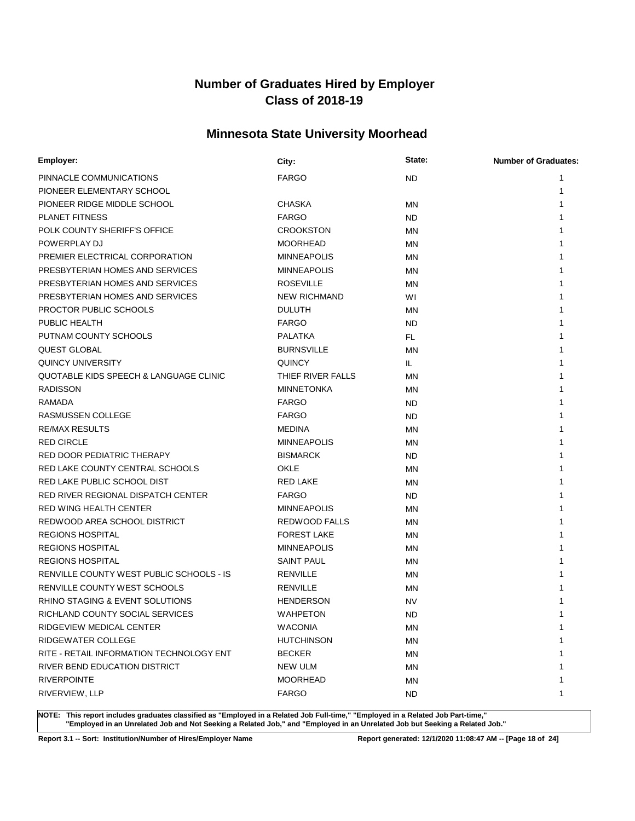## **Minnesota State University Moorhead**

| Employer:                                | City:               | State:    | <b>Number of Graduates:</b> |
|------------------------------------------|---------------------|-----------|-----------------------------|
| PINNACLE COMMUNICATIONS                  | <b>FARGO</b>        | ND.       | 1                           |
| PIONEER ELEMENTARY SCHOOL                |                     |           | 1                           |
| PIONEER RIDGE MIDDLE SCHOOL              | <b>CHASKA</b>       | ΜN        | 1                           |
| <b>PLANET FITNESS</b>                    | <b>FARGO</b>        | ND.       |                             |
| POLK COUNTY SHERIFF'S OFFICE             | <b>CROOKSTON</b>    | <b>MN</b> |                             |
| POWERPLAY DJ                             | <b>MOORHEAD</b>     | ΜN        |                             |
| PREMIER ELECTRICAL CORPORATION           | <b>MINNEAPOLIS</b>  | ΜN        | 1                           |
| PRESBYTERIAN HOMES AND SERVICES          | <b>MINNEAPOLIS</b>  | ΜN        | 1                           |
| PRESBYTERIAN HOMES AND SERVICES          | <b>ROSEVILLE</b>    | ΜN        |                             |
| PRESBYTERIAN HOMES AND SERVICES          | <b>NEW RICHMAND</b> | WI        |                             |
| PROCTOR PUBLIC SCHOOLS                   | <b>DULUTH</b>       | ΜN        |                             |
| PUBLIC HEALTH                            | <b>FARGO</b>        | ND.       |                             |
| PUTNAM COUNTY SCHOOLS                    | PALATKA             | FL        |                             |
| <b>QUEST GLOBAL</b>                      | <b>BURNSVILLE</b>   | <b>MN</b> |                             |
| QUINCY UNIVERSITY                        | <b>QUINCY</b>       | IL.       | 1                           |
| QUOTABLE KIDS SPEECH & LANGUAGE CLINIC   | THIEF RIVER FALLS   | <b>MN</b> | 1                           |
| <b>RADISSON</b>                          | <b>MINNETONKA</b>   | ΜN        | 1                           |
| RAMADA                                   | <b>FARGO</b>        | ND        | 1                           |
| <b>RASMUSSEN COLLEGE</b>                 | <b>FARGO</b>        | <b>ND</b> | 1                           |
| <b>RE/MAX RESULTS</b>                    | <b>MEDINA</b>       | <b>MN</b> | 1                           |
| <b>RED CIRCLE</b>                        | <b>MINNEAPOLIS</b>  | ΜN        | 1                           |
| <b>RED DOOR PEDIATRIC THERAPY</b>        | <b>BISMARCK</b>     | ND.       | 1                           |
| RED LAKE COUNTY CENTRAL SCHOOLS          | <b>OKLE</b>         | ΜN        | 1                           |
| RED LAKE PUBLIC SCHOOL DIST              | <b>RED LAKE</b>     | ΜN        | 1                           |
| RED RIVER REGIONAL DISPATCH CENTER       | <b>FARGO</b>        | ND.       | 1                           |
| RED WING HEALTH CENTER                   | <b>MINNEAPOLIS</b>  | ΜN        | 1                           |
| REDWOOD AREA SCHOOL DISTRICT             | REDWOOD FALLS       | ΜN        | 1                           |
| <b>REGIONS HOSPITAL</b>                  | <b>FOREST LAKE</b>  | ΜN        | 1                           |
| <b>REGIONS HOSPITAL</b>                  | <b>MINNEAPOLIS</b>  | ΜN        | 1                           |
| <b>REGIONS HOSPITAL</b>                  | <b>SAINT PAUL</b>   | ΜN        | 1                           |
| RENVILLE COUNTY WEST PUBLIC SCHOOLS - IS | <b>RENVILLE</b>     | ΜN        | 1                           |
| RENVILLE COUNTY WEST SCHOOLS             | <b>RENVILLE</b>     | ΜN        |                             |
| RHINO STAGING & EVENT SOLUTIONS          | <b>HENDERSON</b>    | NV        |                             |
| RICHLAND COUNTY SOCIAL SERVICES          | <b>WAHPETON</b>     | <b>ND</b> | 1                           |
| RIDGEVIEW MEDICAL CENTER                 | <b>WACONIA</b>      | ΜN        | 1                           |
| RIDGEWATER COLLEGE                       | <b>HUTCHINSON</b>   | ΜN        | 1                           |
| RITE - RETAIL INFORMATION TECHNOLOGY ENT | <b>BECKER</b>       | ΜN        | 1                           |
| RIVER BEND EDUCATION DISTRICT            | <b>NEW ULM</b>      | ΜN        | 1                           |
| <b>RIVERPOINTE</b>                       | <b>MOORHEAD</b>     | ΜN        | 1                           |
| RIVERVIEW, LLP                           | <b>FARGO</b>        | ND.       | 1                           |

**NOTE: This report includes graduates classified as "Employed in a Related Job Full-time," "Employed in a Related Job Part-time," "Employed in an Unrelated Job and Not Seeking a Related Job," and "Employed in an Unrelated Job but Seeking a Related Job."**

**Report 3.1 -- Sort: Institution/Number of Hires/Employer Name Report generated: 12/1/2020 11:08:47 AM -- [Page 18 of 24]**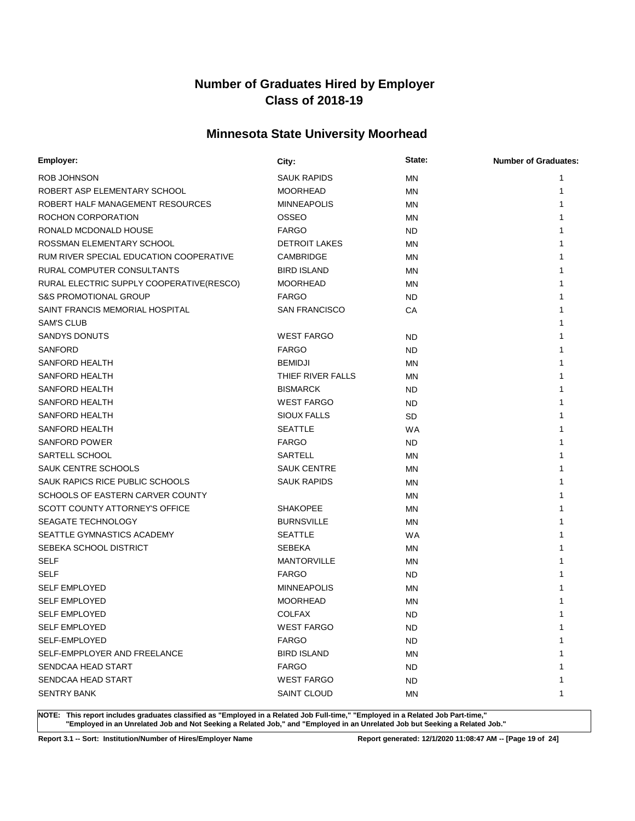## **Minnesota State University Moorhead**

| Employer:                                | City:                | State:    | <b>Number of Graduates:</b> |
|------------------------------------------|----------------------|-----------|-----------------------------|
| ROB JOHNSON                              | SAUK RAPIDS          | MN        | 1                           |
| ROBERT ASP ELEMENTARY SCHOOL             | <b>MOORHEAD</b>      | ΜN        | 1                           |
| ROBERT HALF MANAGEMENT RESOURCES         | <b>MINNEAPOLIS</b>   | MN        | 1                           |
| ROCHON CORPORATION                       | OSSEO                | ΜN        |                             |
| RONALD MCDONALD HOUSE                    | <b>FARGO</b>         | <b>ND</b> | 1                           |
| ROSSMAN ELEMENTARY SCHOOL                | <b>DETROIT LAKES</b> | ΜN        | 1                           |
| RUM RIVER SPECIAL EDUCATION COOPERATIVE  | CAMBRIDGE            | MN        | 1                           |
| RURAL COMPUTER CONSULTANTS               | <b>BIRD ISLAND</b>   | ΜN        |                             |
| RURAL ELECTRIC SUPPLY COOPERATIVE(RESCO) | <b>MOORHEAD</b>      | ΜN        | 1                           |
| <b>S&amp;S PROMOTIONAL GROUP</b>         | <b>FARGO</b>         | <b>ND</b> | 1                           |
| SAINT FRANCIS MEMORIAL HOSPITAL          | <b>SAN FRANCISCO</b> | СA        | 1                           |
| <b>SAM'S CLUB</b>                        |                      |           | 1                           |
| <b>SANDYS DONUTS</b>                     | <b>WEST FARGO</b>    | <b>ND</b> | 1                           |
| <b>SANFORD</b>                           | <b>FARGO</b>         | <b>ND</b> | 1                           |
| SANFORD HEALTH                           | <b>BEMIDJI</b>       | MN        | 1                           |
| SANFORD HEALTH                           | THIEF RIVER FALLS    | ΜN        | 1                           |
| <b>SANFORD HEALTH</b>                    | <b>BISMARCK</b>      | <b>ND</b> | 1                           |
| <b>SANFORD HEALTH</b>                    | <b>WEST FARGO</b>    | ND        | 1                           |
| <b>SANFORD HEALTH</b>                    | <b>SIOUX FALLS</b>   | SD        | 1                           |
| SANFORD HEALTH                           | <b>SEATTLE</b>       | <b>WA</b> | 1                           |
| <b>SANFORD POWER</b>                     | <b>FARGO</b>         | <b>ND</b> | 1                           |
| SARTELL SCHOOL                           | <b>SARTELL</b>       | ΜN        | 1                           |
| SAUK CENTRE SCHOOLS                      | <b>SAUK CENTRE</b>   | MN        | 1                           |
| SAUK RAPICS RICE PUBLIC SCHOOLS          | <b>SAUK RAPIDS</b>   | MN        | 1                           |
| SCHOOLS OF EASTERN CARVER COUNTY         |                      | MN        | 1                           |
| SCOTT COUNTY ATTORNEY'S OFFICE           | <b>SHAKOPEE</b>      | MN        | 1                           |
| <b>SEAGATE TECHNOLOGY</b>                | <b>BURNSVILLE</b>    | MN        |                             |
| SEATTLE GYMNASTICS ACADEMY               | <b>SEATTLE</b>       | <b>WA</b> |                             |
| SEBEKA SCHOOL DISTRICT                   | <b>SEBEKA</b>        | MN        | 1                           |
| <b>SELF</b>                              | <b>MANTORVILLE</b>   | ΜN        |                             |
| <b>SELF</b>                              | <b>FARGO</b>         | <b>ND</b> |                             |
| <b>SELF EMPLOYED</b>                     | <b>MINNEAPOLIS</b>   | <b>MN</b> |                             |
| <b>SELF EMPLOYED</b>                     | <b>MOORHEAD</b>      | <b>MN</b> |                             |
| <b>SELF EMPLOYED</b>                     | <b>COLFAX</b>        | <b>ND</b> | 1                           |
| <b>SELF EMPLOYED</b>                     | <b>WEST FARGO</b>    | <b>ND</b> | 1                           |
| SELF-EMPLOYED                            | <b>FARGO</b>         | <b>ND</b> | 1                           |
| SELF-EMPPLOYER AND FREELANCE             | <b>BIRD ISLAND</b>   | ΜN        | 1                           |
| SENDCAA HEAD START                       | <b>FARGO</b>         | <b>ND</b> | 1                           |
| SENDCAA HEAD START                       | <b>WEST FARGO</b>    | ND.       | 1                           |
| <b>SENTRY BANK</b>                       | <b>SAINT CLOUD</b>   | ΜN        | 1                           |

**NOTE: This report includes graduates classified as "Employed in a Related Job Full-time," "Employed in a Related Job Part-time," "Employed in an Unrelated Job and Not Seeking a Related Job," and "Employed in an Unrelated Job but Seeking a Related Job."**

**Report 3.1 -- Sort: Institution/Number of Hires/Employer Name Report generated: 12/1/2020 11:08:47 AM -- [Page 19 of 24]**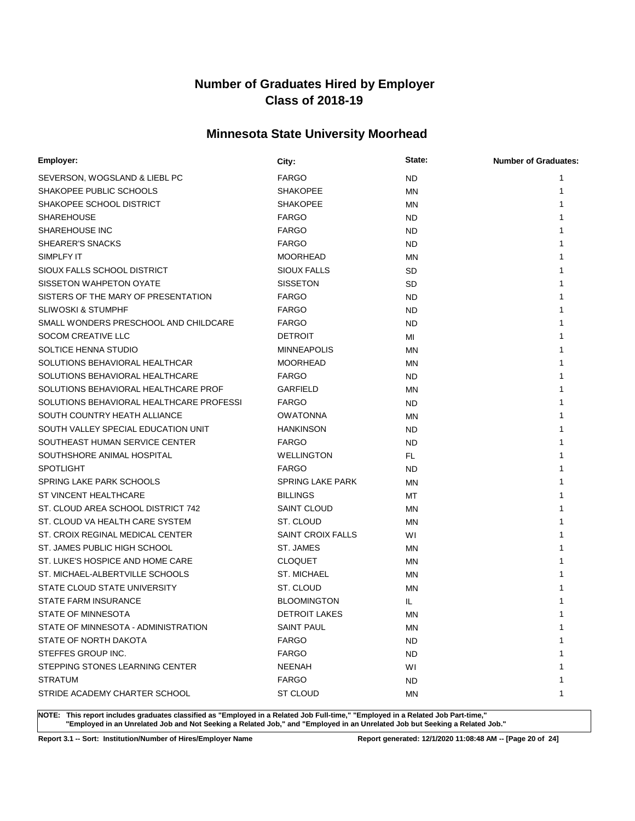## **Minnesota State University Moorhead**

| Employer:                                | City:                    | State:    | <b>Number of Graduates:</b> |
|------------------------------------------|--------------------------|-----------|-----------------------------|
| SEVERSON, WOGSLAND & LIEBL PC            | <b>FARGO</b>             | <b>ND</b> | 1                           |
| SHAKOPEE PUBLIC SCHOOLS                  | <b>SHAKOPEE</b>          | ΜN        | 1                           |
| SHAKOPEE SCHOOL DISTRICT                 | <b>SHAKOPEE</b>          | MN        | 1                           |
| <b>SHAREHOUSE</b>                        | <b>FARGO</b>             | ND.       | 1                           |
| <b>SHAREHOUSE INC</b>                    | <b>FARGO</b>             | ND        | 1                           |
| SHEARER'S SNACKS                         | <b>FARGO</b>             | ND.       | 1                           |
| SIMPLFY IT                               | <b>MOORHEAD</b>          | ΜN        |                             |
| SIOUX FALLS SCHOOL DISTRICT              | <b>SIOUX FALLS</b>       | <b>SD</b> |                             |
| SISSETON WAHPETON OYATE                  | <b>SISSETON</b>          | <b>SD</b> |                             |
| SISTERS OF THE MARY OF PRESENTATION      | <b>FARGO</b>             | <b>ND</b> |                             |
| <b>SLIWOSKI &amp; STUMPHF</b>            | <b>FARGO</b>             | <b>ND</b> |                             |
| SMALL WONDERS PRESCHOOL AND CHILDCARE    | <b>FARGO</b>             | <b>ND</b> | 1                           |
| SOCOM CREATIVE LLC                       | <b>DETROIT</b>           | MI        | 1                           |
| SOLTICE HENNA STUDIO                     | <b>MINNEAPOLIS</b>       | ΜN        |                             |
| SOLUTIONS BEHAVIORAL HEALTHCAR           | <b>MOORHEAD</b>          | ΜN        |                             |
| SOLUTIONS BEHAVIORAL HEALTHCARE          | <b>FARGO</b>             | ND        |                             |
| SOLUTIONS BEHAVIORAL HEALTHCARE PROF     | <b>GARFIELD</b>          | MN        |                             |
| SOLUTIONS BEHAVIORAL HEALTHCARE PROFESSI | <b>FARGO</b>             | ND        |                             |
| SOUTH COUNTRY HEATH ALLIANCE             | <b>OWATONNA</b>          | <b>MN</b> | 1                           |
| SOUTH VALLEY SPECIAL EDUCATION UNIT      | <b>HANKINSON</b>         | <b>ND</b> | 1                           |
| SOUTHEAST HUMAN SERVICE CENTER           | <b>FARGO</b>             | <b>ND</b> | 1                           |
| SOUTHSHORE ANIMAL HOSPITAL               | <b>WELLINGTON</b>        | FL.       |                             |
| <b>SPOTLIGHT</b>                         | <b>FARGO</b>             | <b>ND</b> |                             |
| SPRING LAKE PARK SCHOOLS                 | <b>SPRING LAKE PARK</b>  | ΜN        |                             |
| ST VINCENT HEALTHCARE                    | <b>BILLINGS</b>          | МT        |                             |
| ST. CLOUD AREA SCHOOL DISTRICT 742       | <b>SAINT CLOUD</b>       | ΜN        |                             |
| ST. CLOUD VA HEALTH CARE SYSTEM          | ST. CLOUD                | ΜN        |                             |
| ST. CROIX REGINAL MEDICAL CENTER         | <b>SAINT CROIX FALLS</b> | WI        |                             |
| ST. JAMES PUBLIC HIGH SCHOOL             | ST. JAMES                | ΜN        |                             |
| ST. LUKE'S HOSPICE AND HOME CARE         | <b>CLOQUET</b>           | ΜN        |                             |
| ST. MICHAEL-ALBERTVILLE SCHOOLS          | <b>ST. MICHAEL</b>       | ΜN        |                             |
| STATE CLOUD STATE UNIVERSITY             | ST. CLOUD                | MN        |                             |
| <b>STATE FARM INSURANCE</b>              | <b>BLOOMINGTON</b>       | IL.       |                             |
| STATE OF MINNESOTA                       | <b>DETROIT LAKES</b>     | ΜN        |                             |
| STATE OF MINNESOTA - ADMINISTRATION      | <b>SAINT PAUL</b>        | ΜN        | 1                           |
| STATE OF NORTH DAKOTA                    | <b>FARGO</b>             | ND.       | 1                           |
| STEFFES GROUP INC.                       | <b>FARGO</b>             | ND.       | 1                           |
| STEPPING STONES LEARNING CENTER          | NEENAH                   | WI        | 1                           |
| <b>STRATUM</b>                           | <b>FARGO</b>             | ND        | 1                           |
| STRIDE ACADEMY CHARTER SCHOOL            | ST CLOUD                 | ΜN        | 1                           |

**NOTE: This report includes graduates classified as "Employed in a Related Job Full-time," "Employed in a Related Job Part-time," "Employed in an Unrelated Job and Not Seeking a Related Job," and "Employed in an Unrelated Job but Seeking a Related Job."**

**Report 3.1 -- Sort: Institution/Number of Hires/Employer Name Report generated: 12/1/2020 11:08:48 AM -- [Page 20 of 24]**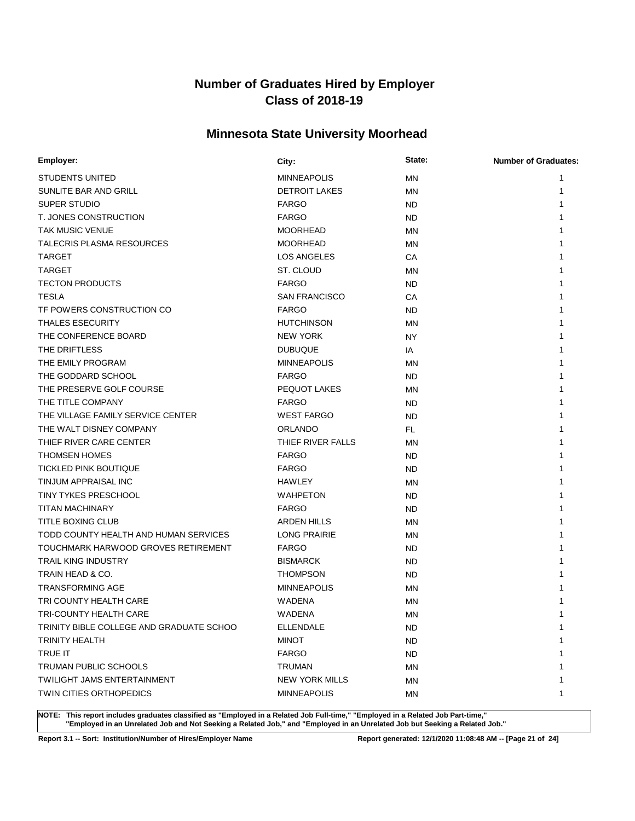## **Minnesota State University Moorhead**

| Employer:                                | City:                 | State:    | <b>Number of Graduates:</b> |
|------------------------------------------|-----------------------|-----------|-----------------------------|
| STUDENTS UNITED                          | <b>MINNEAPOLIS</b>    | ΜN        | 1                           |
| SUNLITE BAR AND GRILL                    | <b>DETROIT LAKES</b>  | ΜN        | 1                           |
| SUPER STUDIO                             | <b>FARGO</b>          | <b>ND</b> |                             |
| T. JONES CONSTRUCTION                    | <b>FARGO</b>          | <b>ND</b> | 1                           |
| <b>TAK MUSIC VENUE</b>                   | <b>MOORHEAD</b>       | ΜN        | 1                           |
| <b>TALECRIS PLASMA RESOURCES</b>         | <b>MOORHEAD</b>       | ΜN        |                             |
| <b>TARGET</b>                            | LOS ANGELES           | CA        |                             |
| <b>TARGET</b>                            | ST. CLOUD             | ΜN        |                             |
| <b>TECTON PRODUCTS</b>                   | <b>FARGO</b>          | ND        |                             |
| <b>TESLA</b>                             | <b>SAN FRANCISCO</b>  | СA        |                             |
| TF POWERS CONSTRUCTION CO                | <b>FARGO</b>          | <b>ND</b> |                             |
| <b>THALES ESECURITY</b>                  | <b>HUTCHINSON</b>     | MN        | 1                           |
| THE CONFERENCE BOARD                     | <b>NEW YORK</b>       | NY        | 1                           |
| THE DRIFTLESS                            | <b>DUBUQUE</b>        | IA        | 1                           |
| THE EMILY PROGRAM                        | <b>MINNEAPOLIS</b>    | ΜN        | 1                           |
| THE GODDARD SCHOOL                       | <b>FARGO</b>          | ND        |                             |
| THE PRESERVE GOLF COURSE                 | PEQUOT LAKES          | ΜN        |                             |
| THE TITLE COMPANY                        | <b>FARGO</b>          | <b>ND</b> |                             |
| THE VILLAGE FAMILY SERVICE CENTER        | <b>WEST FARGO</b>     | <b>ND</b> |                             |
| THE WALT DISNEY COMPANY                  | <b>ORLANDO</b>        | <b>FL</b> | 1                           |
| THIEF RIVER CARE CENTER                  | THIEF RIVER FALLS     | ΜN        |                             |
| <b>THOMSEN HOMES</b>                     | <b>FARGO</b>          | ND.       |                             |
| <b>TICKLED PINK BOUTIQUE</b>             | <b>FARGO</b>          | ND.       |                             |
| TINJUM APPRAISAL INC                     | <b>HAWLEY</b>         | ΜN        |                             |
| <b>TINY TYKES PRESCHOOL</b>              | <b>WAHPETON</b>       | <b>ND</b> |                             |
| <b>TITAN MACHINARY</b>                   | <b>FARGO</b>          | ND.       |                             |
| TITLE BOXING CLUB                        | <b>ARDEN HILLS</b>    | ΜN        |                             |
| TODD COUNTY HEALTH AND HUMAN SERVICES    | <b>LONG PRAIRIE</b>   | MN        | 1                           |
| TOUCHMARK HARWOOD GROVES RETIREMENT      | <b>FARGO</b>          | ND.       |                             |
| <b>TRAIL KING INDUSTRY</b>               | <b>BISMARCK</b>       | ND        | 1                           |
| TRAIN HEAD & CO.                         | <b>THOMPSON</b>       | ND.       |                             |
| <b>TRANSFORMING AGE</b>                  | <b>MINNEAPOLIS</b>    | ΜN        |                             |
| TRI COUNTY HEALTH CARE                   | WADENA                | ΜN        |                             |
| TRI-COUNTY HEALTH CARE                   | WADENA                | ΜN        | 1                           |
| TRINITY BIBLE COLLEGE AND GRADUATE SCHOO | <b>ELLENDALE</b>      | ND        | 1                           |
| TRINITY HEALTH                           | <b>MINOT</b>          | <b>ND</b> | 1                           |
| TRUE IT                                  | <b>FARGO</b>          | ND        | 1                           |
| <b>TRUMAN PUBLIC SCHOOLS</b>             | TRUMAN                | ΜN        |                             |
| <b>TWILIGHT JAMS ENTERTAINMENT</b>       | <b>NEW YORK MILLS</b> | ΜN        | 1                           |
| TWIN CITIES ORTHOPEDICS                  | <b>MINNEAPOLIS</b>    | MN        | 1                           |

**NOTE: This report includes graduates classified as "Employed in a Related Job Full-time," "Employed in a Related Job Part-time," "Employed in an Unrelated Job and Not Seeking a Related Job," and "Employed in an Unrelated Job but Seeking a Related Job."**

**Report 3.1 -- Sort: Institution/Number of Hires/Employer Name Report generated: 12/1/2020 11:08:48 AM -- [Page 21 of 24]**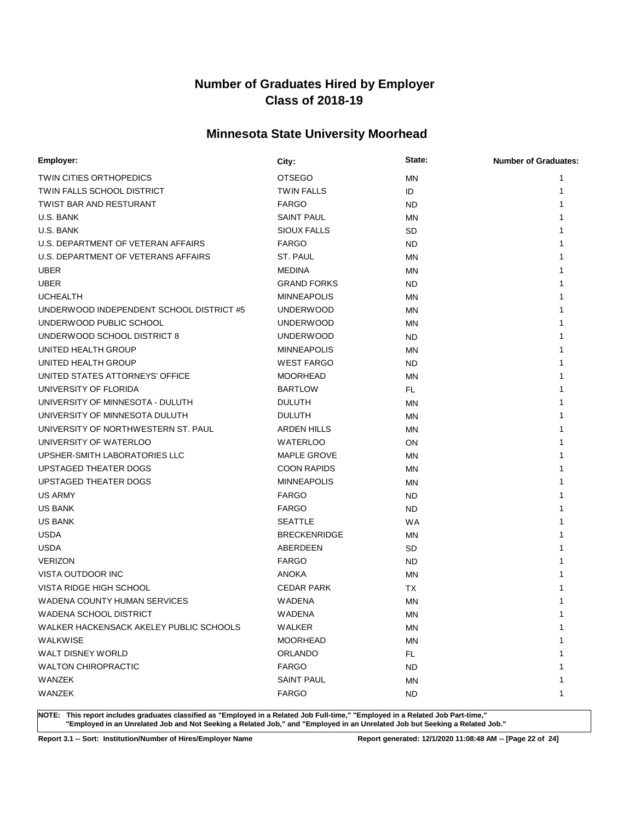## **Minnesota State University Moorhead**

| Employer:                                | City:               | State:    | <b>Number of Graduates:</b> |
|------------------------------------------|---------------------|-----------|-----------------------------|
| <b>TWIN CITIES ORTHOPEDICS</b>           | <b>OTSEGO</b>       | <b>MN</b> | 1                           |
| TWIN FALLS SCHOOL DISTRICT               | <b>TWIN FALLS</b>   | ID        | 1                           |
| <b>TWIST BAR AND RESTURANT</b>           | <b>FARGO</b>        | <b>ND</b> | 1                           |
| U.S. BANK                                | <b>SAINT PAUL</b>   | MN        |                             |
| U.S. BANK                                | <b>SIOUX FALLS</b>  | <b>SD</b> | 1                           |
| U.S. DEPARTMENT OF VETERAN AFFAIRS       | <b>FARGO</b>        | <b>ND</b> |                             |
| U.S. DEPARTMENT OF VETERANS AFFAIRS      | ST. PAUL            | MN        |                             |
| <b>UBER</b>                              | <b>MEDINA</b>       | MN        | 1                           |
| <b>UBER</b>                              | <b>GRAND FORKS</b>  | <b>ND</b> |                             |
| <b>UCHEALTH</b>                          | <b>MINNEAPOLIS</b>  | MN        |                             |
| UNDERWOOD INDEPENDENT SCHOOL DISTRICT #5 | <b>UNDERWOOD</b>    | MN        |                             |
| UNDERWOOD PUBLIC SCHOOL                  | <b>UNDERWOOD</b>    | MN        |                             |
| UNDERWOOD SCHOOL DISTRICT 8              | <b>UNDERWOOD</b>    | <b>ND</b> | 1                           |
| UNITED HEALTH GROUP                      | <b>MINNEAPOLIS</b>  | MN        | 1                           |
| UNITED HEALTH GROUP                      | <b>WEST FARGO</b>   | <b>ND</b> | 1                           |
| UNITED STATES ATTORNEYS' OFFICE          | <b>MOORHEAD</b>     | MN        | 1                           |
| UNIVERSITY OF FLORIDA                    | <b>BARTLOW</b>      | <b>FL</b> | 1                           |
| UNIVERSITY OF MINNESOTA - DULUTH         | <b>DULUTH</b>       | MN        | 1                           |
| UNIVERSITY OF MINNESOTA DULUTH           | <b>DULUTH</b>       | ΜN        |                             |
| UNIVERSITY OF NORTHWESTERN ST. PAUL      | <b>ARDEN HILLS</b>  | MN        | 1                           |
| UNIVERSITY OF WATERLOO                   | <b>WATERLOO</b>     | ON        | 1                           |
| UPSHER-SMITH LABORATORIES LLC            | <b>MAPLE GROVE</b>  | MN        | 1                           |
| UPSTAGED THEATER DOGS                    | <b>COON RAPIDS</b>  | MN        | 1                           |
| UPSTAGED THEATER DOGS                    | <b>MINNEAPOLIS</b>  | ΜN        | 1                           |
| <b>US ARMY</b>                           | <b>FARGO</b>        | <b>ND</b> | 1                           |
| <b>US BANK</b>                           | <b>FARGO</b>        | <b>ND</b> | 1                           |
| <b>US BANK</b>                           | <b>SEATTLE</b>      | <b>WA</b> |                             |
| <b>USDA</b>                              | <b>BRECKENRIDGE</b> | MN        | 1                           |
| <b>USDA</b>                              | ABERDEEN            | <b>SD</b> | 1                           |
| <b>VERIZON</b>                           | <b>FARGO</b>        | <b>ND</b> | 1                           |
| VISTA OUTDOOR INC                        | ANOKA               | ΜN        |                             |
| VISTA RIDGE HIGH SCHOOL                  | <b>CEDAR PARK</b>   | ТX        |                             |
| WADENA COUNTY HUMAN SERVICES             | <b>WADENA</b>       | MN        |                             |
| WADENA SCHOOL DISTRICT                   | WADENA              | <b>MN</b> | 1                           |
| WALKER HACKENSACK AKELEY PUBLIC SCHOOLS  | <b>WALKER</b>       | ΜN        | 1                           |
| <b>WALKWISE</b>                          | <b>MOORHEAD</b>     | <b>MN</b> | 1                           |
| WALT DISNEY WORLD                        | <b>ORLANDO</b>      | FL.       | 1                           |
| <b>WALTON CHIROPRACTIC</b>               | <b>FARGO</b>        | <b>ND</b> | 1                           |
| WANZEK                                   | <b>SAINT PAUL</b>   | ΜN        | 1                           |
| WANZEK                                   | <b>FARGO</b>        | ND.       | 1                           |

**NOTE: This report includes graduates classified as "Employed in a Related Job Full-time," "Employed in a Related Job Part-time," "Employed in an Unrelated Job and Not Seeking a Related Job," and "Employed in an Unrelated Job but Seeking a Related Job."**

**Report 3.1 -- Sort: Institution/Number of Hires/Employer Name Report generated: 12/1/2020 11:08:48 AM -- [Page 22 of 24]**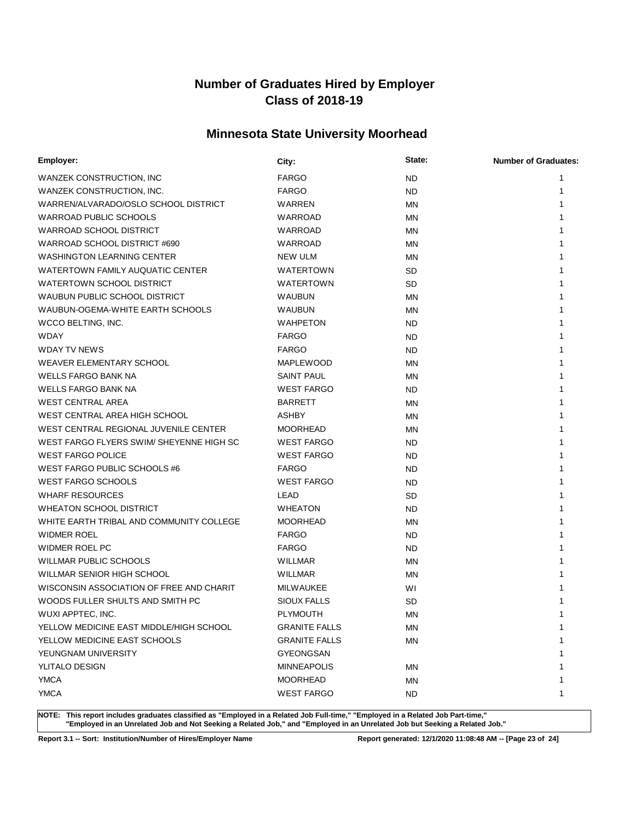## **Minnesota State University Moorhead**

| Employer:                                | City:                | State:    | <b>Number of Graduates:</b> |
|------------------------------------------|----------------------|-----------|-----------------------------|
| WANZEK CONSTRUCTION, INC                 | <b>FARGO</b>         | <b>ND</b> | 1                           |
| WANZEK CONSTRUCTION, INC.                | <b>FARGO</b>         | <b>ND</b> | 1                           |
| WARREN/ALVARADO/OSLO SCHOOL DISTRICT     | WARREN               | ΜN        |                             |
| <b>WARROAD PUBLIC SCHOOLS</b>            | <b>WARROAD</b>       | <b>MN</b> |                             |
| WARROAD SCHOOL DISTRICT                  | WARROAD              | ΜN        |                             |
| WARROAD SCHOOL DISTRICT #690             | WARROAD              | MN        |                             |
| <b>WASHINGTON LEARNING CENTER</b>        | NEW ULM              | ΜN        |                             |
| WATERTOWN FAMILY AUQUATIC CENTER         | <b>WATERTOWN</b>     | <b>SD</b> |                             |
| WATERTOWN SCHOOL DISTRICT                | <b>WATERTOWN</b>     | <b>SD</b> |                             |
| WAUBUN PUBLIC SCHOOL DISTRICT            | <b>WAUBUN</b>        | ΜN        |                             |
| WAUBUN-OGEMA-WHITE EARTH SCHOOLS         | <b>WAUBUN</b>        | ΜN        |                             |
| WCCO BELTING, INC.                       | <b>WAHPETON</b>      | ND.       |                             |
| <b>WDAY</b>                              | <b>FARGO</b>         | <b>ND</b> |                             |
| <b>WDAY TV NEWS</b>                      | <b>FARGO</b>         | <b>ND</b> |                             |
| WEAVER ELEMENTARY SCHOOL                 | <b>MAPLEWOOD</b>     | ΜN        |                             |
| <b>WELLS FARGO BANK NA</b>               | SAINT PAUL           | ΜN        |                             |
| <b>WELLS FARGO BANK NA</b>               | <b>WEST FARGO</b>    | <b>ND</b> |                             |
| <b>WEST CENTRAL AREA</b>                 | <b>BARRETT</b>       | ΜN        |                             |
| WEST CENTRAL AREA HIGH SCHOOL            | <b>ASHBY</b>         | ΜN        |                             |
| WEST CENTRAL REGIONAL JUVENILE CENTER    | <b>MOORHEAD</b>      | ΜN        |                             |
| WEST FARGO FLYERS SWIM/ SHEYENNE HIGH SC | <b>WEST FARGO</b>    | <b>ND</b> |                             |
| <b>WEST FARGO POLICE</b>                 | <b>WEST FARGO</b>    | <b>ND</b> |                             |
| WEST FARGO PUBLIC SCHOOLS #6             | <b>FARGO</b>         | ND        |                             |
| <b>WEST FARGO SCHOOLS</b>                | <b>WEST FARGO</b>    | ND.       |                             |
| <b>WHARF RESOURCES</b>                   | LEAD                 | <b>SD</b> |                             |
| <b>WHEATON SCHOOL DISTRICT</b>           | <b>WHEATON</b>       | ND.       |                             |
| WHITE EARTH TRIBAL AND COMMUNITY COLLEGE | <b>MOORHEAD</b>      | ΜN        |                             |
| <b>WIDMER ROEL</b>                       | <b>FARGO</b>         | ND.       |                             |
| WIDMER ROEL PC                           | <b>FARGO</b>         | <b>ND</b> |                             |
| WILLMAR PUBLIC SCHOOLS                   | WILLMAR              | ΜN        |                             |
| <b>WILLMAR SENIOR HIGH SCHOOL</b>        | <b>WILLMAR</b>       | ΜN        |                             |
| WISCONSIN ASSOCIATION OF FREE AND CHARIT | <b>MILWAUKEE</b>     | WI        |                             |
| WOODS FULLER SHULTS AND SMITH PC         | <b>SIOUX FALLS</b>   | SD        |                             |
| WUXI APPTEC, INC.                        | PLYMOUTH             | MN        | 1                           |
| YELLOW MEDICINE EAST MIDDLE/HIGH SCHOOL  | <b>GRANITE FALLS</b> | ΜN        | 1                           |
| YELLOW MEDICINE EAST SCHOOLS             | <b>GRANITE FALLS</b> | <b>MN</b> | 1                           |
| YEUNGNAM UNIVERSITY                      | GYEONGSAN            |           |                             |
| YLITALO DESIGN                           | <b>MINNEAPOLIS</b>   | ΜN        |                             |
| <b>YMCA</b>                              | <b>MOORHEAD</b>      | ΜN        |                             |
| <b>YMCA</b>                              | <b>WEST FARGO</b>    | ND.       | 1                           |

**NOTE: This report includes graduates classified as "Employed in a Related Job Full-time," "Employed in a Related Job Part-time," "Employed in an Unrelated Job and Not Seeking a Related Job," and "Employed in an Unrelated Job but Seeking a Related Job."**

**Report 3.1 -- Sort: Institution/Number of Hires/Employer Name Report generated: 12/1/2020 11:08:48 AM -- [Page 23 of 24]**